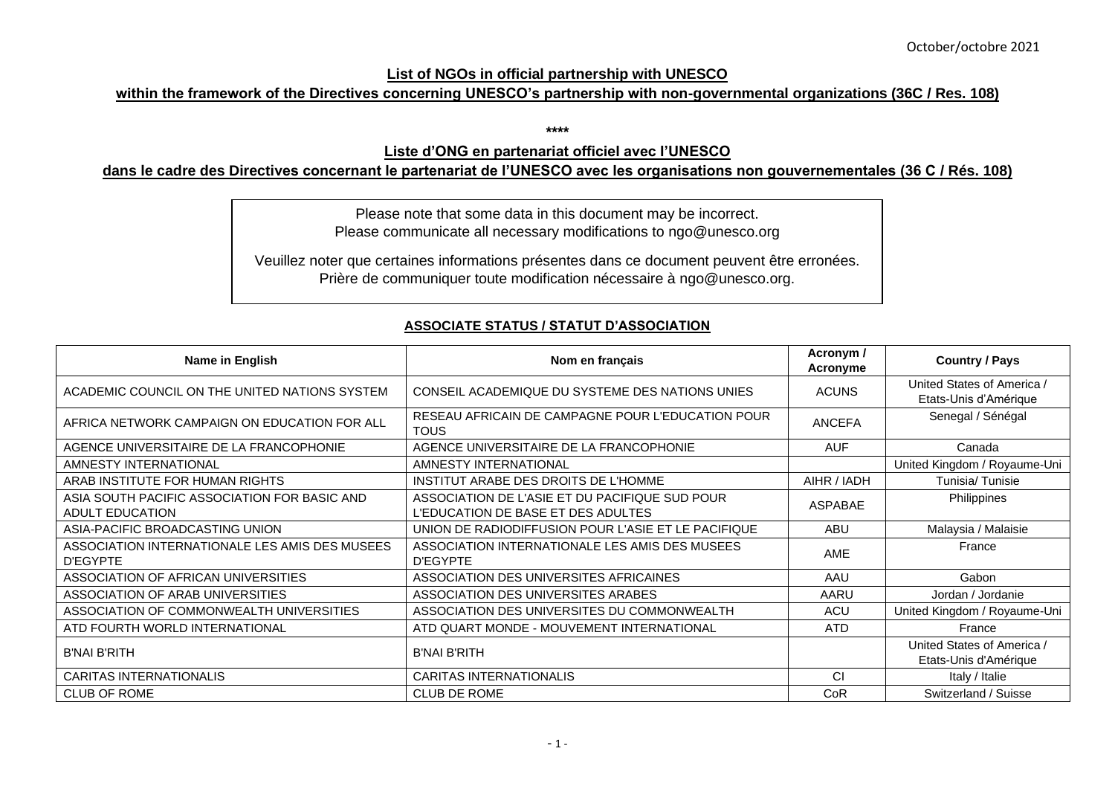#### **List of NGOs in official partnership with UNESCO**

## **within the framework of the Directives concerning UNESCO's partnership with non-governmental organizations (36C / Res. 108)**

**\*\*\*\***

### **Liste d'ONG en partenariat officiel avec l'UNESCO**

#### **dans le cadre des Directives concernant le partenariat de l'UNESCO avec les organisations non gouvernementales (36 C / Rés. 108)**

Please note that some data in this document may be incorrect. Please communicate all necessary modifications to ngo@unesco.org

Veuillez noter que certaines informations présentes dans ce document peuvent être erronées. Prière de communiquer toute modification nécessaire à ngo@unesco.org.

# **ASSOCIATE STATUS / STATUT D'ASSOCIATION**

| Name in English                                                        | Nom en français                                                                      | Acronym /<br>Acronyme | <b>Country / Pays</b>                               |
|------------------------------------------------------------------------|--------------------------------------------------------------------------------------|-----------------------|-----------------------------------------------------|
| ACADEMIC COUNCIL ON THE UNITED NATIONS SYSTEM                          | CONSEIL ACADEMIQUE DU SYSTEME DES NATIONS UNIES                                      | <b>ACUNS</b>          | United States of America /<br>Etats-Unis d'Amérique |
| AFRICA NETWORK CAMPAIGN ON EDUCATION FOR ALL                           | RESEAU AFRICAIN DE CAMPAGNE POUR L'EDUCATION POUR<br><b>TOUS</b>                     | <b>ANCEFA</b>         | Senegal / Sénégal                                   |
| AGENCE UNIVERSITAIRE DE LA FRANCOPHONIE                                | AGENCE UNIVERSITAIRE DE LA FRANCOPHONIE                                              | <b>AUF</b>            | Canada                                              |
| AMNESTY INTERNATIONAL                                                  | AMNESTY INTERNATIONAL                                                                |                       | United Kingdom / Royaume-Uni                        |
| ARAB INSTITUTE FOR HUMAN RIGHTS                                        | INSTITUT ARABE DES DROITS DE L'HOMME                                                 | AIHR / IADH           | Tunisia/Tunisie                                     |
| ASIA SOUTH PACIFIC ASSOCIATION FOR BASIC AND<br><b>ADULT EDUCATION</b> | ASSOCIATION DE L'ASIE ET DU PACIFIQUE SUD POUR<br>L'EDUCATION DE BASE ET DES ADULTES | ASPABAE               | Philippines                                         |
| ASIA-PACIFIC BROADCASTING UNION                                        | UNION DE RADIODIFFUSION POUR L'ASIE ET LE PACIFIQUE                                  | <b>ABU</b>            | Malaysia / Malaisie                                 |
| ASSOCIATION INTERNATIONALE LES AMIS DES MUSEES<br><b>D'EGYPTE</b>      | ASSOCIATION INTERNATIONALE LES AMIS DES MUSEES<br><b>D'EGYPTE</b>                    | <b>AME</b>            | France                                              |
| ASSOCIATION OF AFRICAN UNIVERSITIES                                    | ASSOCIATION DES UNIVERSITES AFRICAINES                                               | AAU                   | Gabon                                               |
| ASSOCIATION OF ARAB UNIVERSITIES                                       | ASSOCIATION DES UNIVERSITES ARABES                                                   | AARU                  | Jordan / Jordanie                                   |
| ASSOCIATION OF COMMONWEALTH UNIVERSITIES                               | ASSOCIATION DES UNIVERSITES DU COMMONWEALTH                                          | <b>ACU</b>            | United Kingdom / Royaume-Uni                        |
| ATD FOURTH WORLD INTERNATIONAL                                         | ATD QUART MONDE - MOUVEMENT INTERNATIONAL                                            | <b>ATD</b>            | France                                              |
| <b>B'NAI B'RITH</b>                                                    | <b>B'NAI B'RITH</b>                                                                  |                       | United States of America /<br>Etats-Unis d'Amérique |
| <b>CARITAS INTERNATIONALIS</b>                                         | <b>CARITAS INTERNATIONALIS</b>                                                       | <b>CI</b>             | Italy / Italie                                      |
| <b>CLUB OF ROME</b>                                                    | <b>CLUB DE ROME</b>                                                                  | CoR                   | Switzerland / Suisse                                |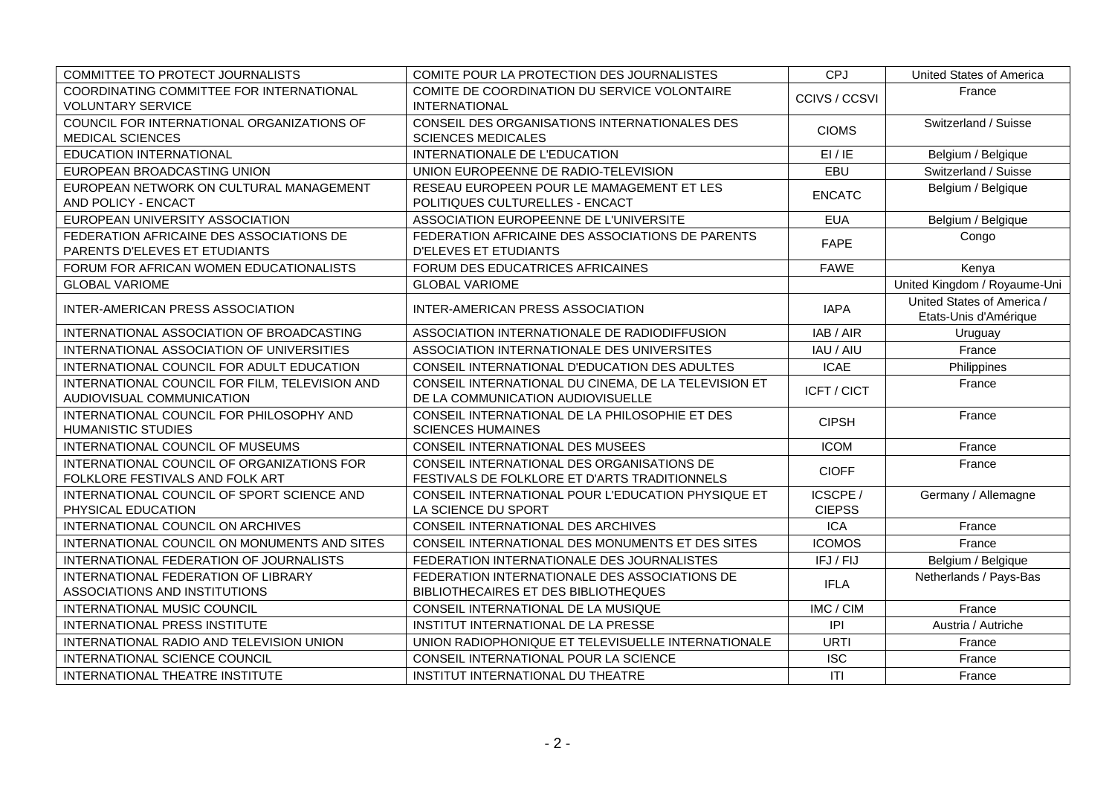| COMMITTEE TO PROTECT JOURNALISTS                                              | COMITE POUR LA PROTECTION DES JOURNALISTES                                                  | CPJ                       | United States of America                            |
|-------------------------------------------------------------------------------|---------------------------------------------------------------------------------------------|---------------------------|-----------------------------------------------------|
| COORDINATING COMMITTEE FOR INTERNATIONAL<br><b>VOLUNTARY SERVICE</b>          | COMITE DE COORDINATION DU SERVICE VOLONTAIRE<br><b>INTERNATIONAL</b>                        | CCIVS / CCSVI             | France                                              |
| COUNCIL FOR INTERNATIONAL ORGANIZATIONS OF<br><b>MEDICAL SCIENCES</b>         | CONSEIL DES ORGANISATIONS INTERNATIONALES DES<br><b>SCIENCES MEDICALES</b>                  | <b>CIOMS</b>              | Switzerland / Suisse                                |
| <b>EDUCATION INTERNATIONAL</b>                                                | INTERNATIONALE DE L'EDUCATION                                                               | EI/IE                     | Belgium / Belgique                                  |
| EUROPEAN BROADCASTING UNION                                                   | UNION EUROPEENNE DE RADIO-TELEVISION                                                        | EBU                       | Switzerland / Suisse                                |
| EUROPEAN NETWORK ON CULTURAL MANAGEMENT<br>AND POLICY - ENCACT                | RESEAU EUROPEEN POUR LE MAMAGEMENT ET LES<br>POLITIQUES CULTURELLES - ENCACT                | <b>ENCATC</b>             | Belgium / Belgique                                  |
| EUROPEAN UNIVERSITY ASSOCIATION                                               | ASSOCIATION EUROPEENNE DE L'UNIVERSITE                                                      | <b>EUA</b>                | Belgium / Belgique                                  |
| FEDERATION AFRICAINE DES ASSOCIATIONS DE<br>PARENTS D'ELEVES ET ETUDIANTS     | FEDERATION AFRICAINE DES ASSOCIATIONS DE PARENTS<br><b>D'ELEVES ET ETUDIANTS</b>            | <b>FAPE</b>               | Congo                                               |
| FORUM FOR AFRICAN WOMEN EDUCATIONALISTS                                       | FORUM DES EDUCATRICES AFRICAINES                                                            | <b>FAWE</b>               | Kenya                                               |
| <b>GLOBAL VARIOME</b>                                                         | <b>GLOBAL VARIOME</b>                                                                       |                           | United Kingdom / Royaume-Uni                        |
| <b>INTER-AMERICAN PRESS ASSOCIATION</b>                                       | INTER-AMERICAN PRESS ASSOCIATION                                                            | <b>IAPA</b>               | United States of America /<br>Etats-Unis d'Amérique |
| INTERNATIONAL ASSOCIATION OF BROADCASTING                                     | ASSOCIATION INTERNATIONALE DE RADIODIFFUSION                                                | IAB / AIR                 | Uruguay                                             |
| INTERNATIONAL ASSOCIATION OF UNIVERSITIES                                     | ASSOCIATION INTERNATIONALE DES UNIVERSITES                                                  | IAU / AIU                 | France                                              |
| INTERNATIONAL COUNCIL FOR ADULT EDUCATION                                     | CONSEIL INTERNATIONAL D'EDUCATION DES ADULTES                                               | <b>ICAE</b>               | Philippines                                         |
| INTERNATIONAL COUNCIL FOR FILM, TELEVISION AND<br>AUDIOVISUAL COMMUNICATION   | CONSEIL INTERNATIONAL DU CINEMA, DE LA TELEVISION ET<br>DE LA COMMUNICATION AUDIOVISUELLE   | ICFT / CICT               | France                                              |
| INTERNATIONAL COUNCIL FOR PHILOSOPHY AND<br><b>HUMANISTIC STUDIES</b>         | CONSEIL INTERNATIONAL DE LA PHILOSOPHIE ET DES<br><b>SCIENCES HUMAINES</b>                  | <b>CIPSH</b>              | France                                              |
| INTERNATIONAL COUNCIL OF MUSEUMS                                              | CONSEIL INTERNATIONAL DES MUSEES                                                            | <b>ICOM</b>               | France                                              |
| INTERNATIONAL COUNCIL OF ORGANIZATIONS FOR<br>FOLKLORE FESTIVALS AND FOLK ART | CONSEIL INTERNATIONAL DES ORGANISATIONS DE<br>FESTIVALS DE FOLKLORE ET D'ARTS TRADITIONNELS | <b>CIOFF</b>              | France                                              |
| INTERNATIONAL COUNCIL OF SPORT SCIENCE AND<br>PHYSICAL EDUCATION              | CONSEIL INTERNATIONAL POUR L'EDUCATION PHYSIQUE ET<br>LA SCIENCE DU SPORT                   | ICSCPE /<br><b>CIEPSS</b> | Germany / Allemagne                                 |
| INTERNATIONAL COUNCIL ON ARCHIVES                                             | CONSEIL INTERNATIONAL DES ARCHIVES                                                          | <b>ICA</b>                | France                                              |
| INTERNATIONAL COUNCIL ON MONUMENTS AND SITES                                  | CONSEIL INTERNATIONAL DES MONUMENTS ET DES SITES                                            | <b>ICOMOS</b>             | France                                              |
| INTERNATIONAL FEDERATION OF JOURNALISTS                                       | FEDERATION INTERNATIONALE DES JOURNALISTES                                                  | IFJ / FIJ                 | Belgium / Belgique                                  |
| INTERNATIONAL FEDERATION OF LIBRARY                                           | FEDERATION INTERNATIONALE DES ASSOCIATIONS DE                                               | <b>IFLA</b>               | Netherlands / Pays-Bas                              |
| ASSOCIATIONS AND INSTITUTIONS                                                 | BIBLIOTHECAIRES ET DES BIBLIOTHEQUES                                                        |                           |                                                     |
| INTERNATIONAL MUSIC COUNCIL                                                   | CONSEIL INTERNATIONAL DE LA MUSIQUE                                                         | IMC / CIM                 | France                                              |
| INTERNATIONAL PRESS INSTITUTE                                                 | INSTITUT INTERNATIONAL DE LA PRESSE                                                         | P                         | Austria / Autriche                                  |
| INTERNATIONAL RADIO AND TELEVISION UNION                                      | UNION RADIOPHONIQUE ET TELEVISUELLE INTERNATIONALE                                          | <b>URTI</b>               | France                                              |
| INTERNATIONAL SCIENCE COUNCIL                                                 | CONSEIL INTERNATIONAL POUR LA SCIENCE                                                       | <b>ISC</b>                | France                                              |
| INTERNATIONAL THEATRE INSTITUTE                                               | INSTITUT INTERNATIONAL DU THEATRE                                                           | T                         | France                                              |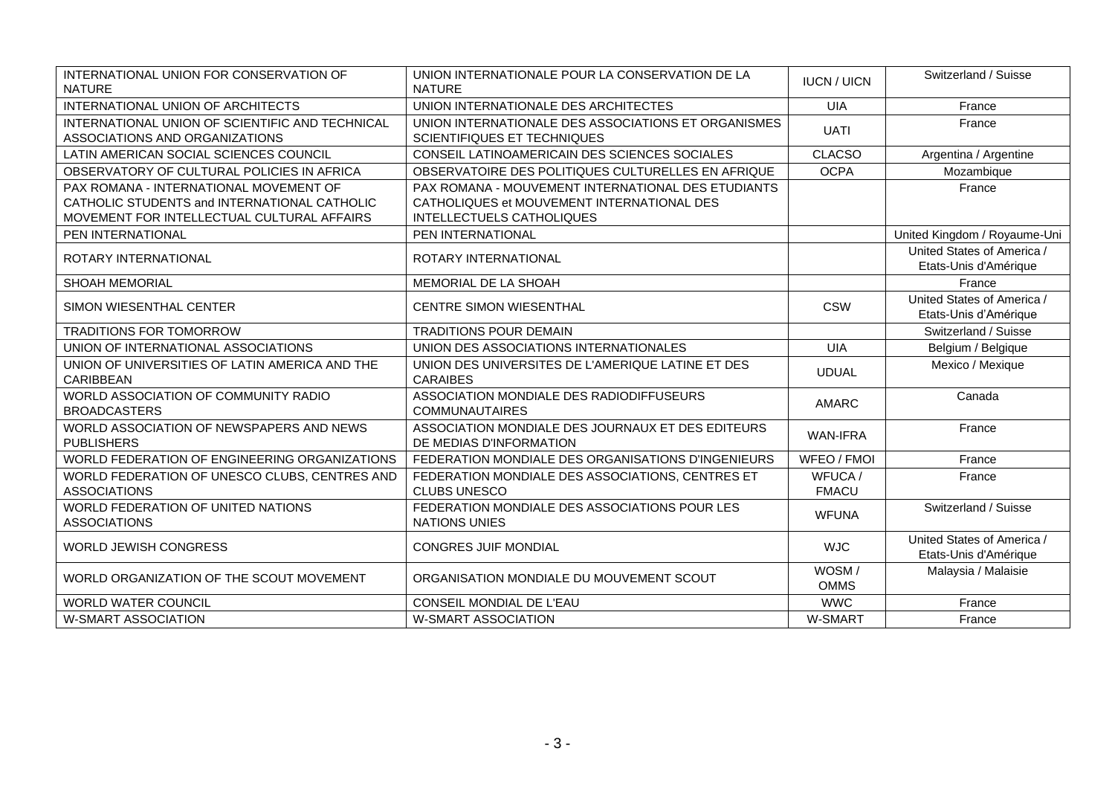| INTERNATIONAL UNION FOR CONSERVATION OF<br><b>NATURE</b>                                                                             | UNION INTERNATIONALE POUR LA CONSERVATION DE LA<br><b>NATURE</b>                                                              | <b>IUCN / UICN</b>      | Switzerland / Suisse                                |
|--------------------------------------------------------------------------------------------------------------------------------------|-------------------------------------------------------------------------------------------------------------------------------|-------------------------|-----------------------------------------------------|
| INTERNATIONAL UNION OF ARCHITECTS                                                                                                    | UNION INTERNATIONALE DES ARCHITECTES                                                                                          | <b>UIA</b>              | France                                              |
| INTERNATIONAL UNION OF SCIENTIFIC AND TECHNICAL<br>ASSOCIATIONS AND ORGANIZATIONS                                                    | UNION INTERNATIONALE DES ASSOCIATIONS ET ORGANISMES<br>SCIENTIFIQUES ET TECHNIQUES                                            | <b>UATI</b>             | France                                              |
| LATIN AMERICAN SOCIAL SCIENCES COUNCIL                                                                                               | CONSEIL LATINOAMERICAIN DES SCIENCES SOCIALES                                                                                 | <b>CLACSO</b>           | Argentina / Argentine                               |
| OBSERVATORY OF CULTURAL POLICIES IN AFRICA                                                                                           | OBSERVATOIRE DES POLITIQUES CULTURELLES EN AFRIQUE                                                                            | <b>OCPA</b>             | Mozambique                                          |
| PAX ROMANA - INTERNATIONAL MOVEMENT OF<br>CATHOLIC STUDENTS and INTERNATIONAL CATHOLIC<br>MOVEMENT FOR INTELLECTUAL CULTURAL AFFAIRS | PAX ROMANA - MOUVEMENT INTERNATIONAL DES ETUDIANTS<br>CATHOLIQUES et MOUVEMENT INTERNATIONAL DES<br>INTELLECTUELS CATHOLIQUES |                         | France                                              |
| PEN INTERNATIONAL                                                                                                                    | PEN INTERNATIONAL                                                                                                             |                         | United Kingdom / Royaume-Uni                        |
| ROTARY INTERNATIONAL                                                                                                                 | ROTARY INTERNATIONAL                                                                                                          |                         | United States of America /<br>Etats-Unis d'Amérique |
| <b>SHOAH MEMORIAL</b>                                                                                                                | MEMORIAL DE LA SHOAH                                                                                                          |                         | France                                              |
| SIMON WIESENTHAL CENTER                                                                                                              | <b>CENTRE SIMON WIESENTHAL</b>                                                                                                | <b>CSW</b>              | United States of America /<br>Etats-Unis d'Amérique |
| <b>TRADITIONS FOR TOMORROW</b>                                                                                                       | <b>TRADITIONS POUR DEMAIN</b>                                                                                                 |                         | Switzerland / Suisse                                |
| UNION OF INTERNATIONAL ASSOCIATIONS                                                                                                  | UNION DES ASSOCIATIONS INTERNATIONALES                                                                                        | <b>UIA</b>              | Belgium / Belgique                                  |
| UNION OF UNIVERSITIES OF LATIN AMERICA AND THE<br>CARIBBEAN                                                                          | UNION DES UNIVERSITES DE L'AMERIQUE LATINE ET DES<br><b>CARAIBES</b>                                                          | <b>UDUAL</b>            | Mexico / Mexique                                    |
| WORLD ASSOCIATION OF COMMUNITY RADIO<br><b>BROADCASTERS</b>                                                                          | ASSOCIATION MONDIALE DES RADIODIFFUSEURS<br><b>COMMUNAUTAIRES</b>                                                             | <b>AMARC</b>            | Canada                                              |
| WORLD ASSOCIATION OF NEWSPAPERS AND NEWS<br><b>PUBLISHERS</b>                                                                        | ASSOCIATION MONDIALE DES JOURNAUX ET DES EDITEURS<br>DE MEDIAS D'INFORMATION                                                  | <b>WAN-IFRA</b>         | France                                              |
| WORLD FEDERATION OF ENGINEERING ORGANIZATIONS                                                                                        | FEDERATION MONDIALE DES ORGANISATIONS D'INGENIEURS                                                                            | WFEO / FMOI             | France                                              |
| WORLD FEDERATION OF UNESCO CLUBS, CENTRES AND<br><b>ASSOCIATIONS</b>                                                                 | FEDERATION MONDIALE DES ASSOCIATIONS, CENTRES ET<br><b>CLUBS UNESCO</b>                                                       | WFUCA /<br><b>FMACU</b> | France                                              |
| WORLD FEDERATION OF UNITED NATIONS<br><b>ASSOCIATIONS</b>                                                                            | FEDERATION MONDIALE DES ASSOCIATIONS POUR LES<br><b>NATIONS UNIES</b>                                                         | <b>WFUNA</b>            | Switzerland / Suisse                                |
| <b>WORLD JEWISH CONGRESS</b>                                                                                                         | <b>CONGRES JUIF MONDIAL</b>                                                                                                   | <b>WJC</b>              | United States of America /<br>Etats-Unis d'Amérique |
| WORLD ORGANIZATION OF THE SCOUT MOVEMENT                                                                                             | ORGANISATION MONDIALE DU MOUVEMENT SCOUT                                                                                      | WOSM/<br><b>OMMS</b>    | Malaysia / Malaisie                                 |
| <b>WORLD WATER COUNCIL</b>                                                                                                           | CONSEIL MONDIAL DE L'EAU                                                                                                      | <b>WWC</b>              | France                                              |
| <b>W-SMART ASSOCIATION</b>                                                                                                           | <b>W-SMART ASSOCIATION</b>                                                                                                    | W-SMART                 | France                                              |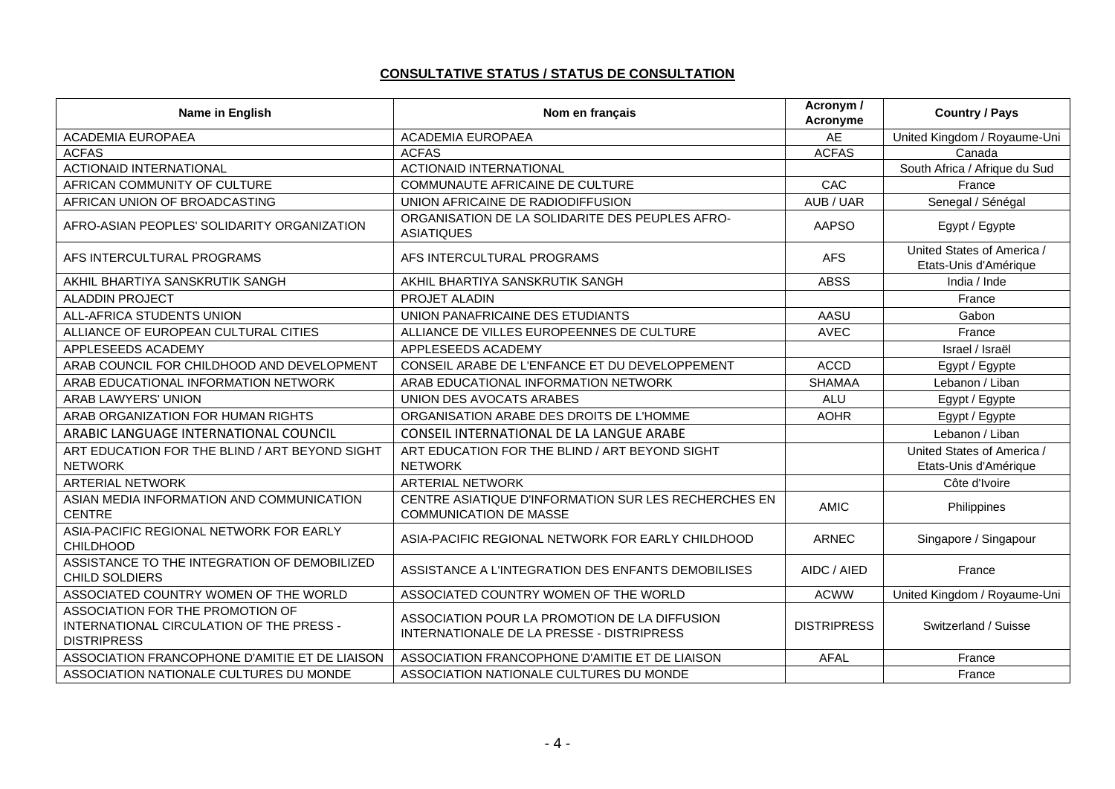#### **CONSULTATIVE STATUS / STATUS DE CONSULTATION**

| Name in English                                                                                    | Nom en français                                                                            | Acronym /<br>Acronyme | <b>Country / Pays</b>                               |
|----------------------------------------------------------------------------------------------------|--------------------------------------------------------------------------------------------|-----------------------|-----------------------------------------------------|
| <b>ACADEMIA EUROPAEA</b>                                                                           | ACADEMIA EUROPAEA                                                                          | AE                    | United Kingdom / Royaume-Uni                        |
| <b>ACFAS</b>                                                                                       | <b>ACFAS</b>                                                                               | <b>ACFAS</b>          | Canada                                              |
| <b>ACTIONAID INTERNATIONAL</b>                                                                     | <b>ACTIONAID INTERNATIONAL</b>                                                             |                       | South Africa / Afrique du Sud                       |
| AFRICAN COMMUNITY OF CULTURE                                                                       | <b>COMMUNAUTE AFRICAINE DE CULTURE</b>                                                     | CAC                   | France                                              |
| AFRICAN UNION OF BROADCASTING                                                                      | UNION AFRICAINE DE RADIODIFFUSION                                                          | AUB / UAR             | Senegal / Sénégal                                   |
| AFRO-ASIAN PEOPLES' SOLIDARITY ORGANIZATION                                                        | ORGANISATION DE LA SOLIDARITE DES PEUPLES AFRO-<br><b>ASIATIQUES</b>                       | <b>AAPSO</b>          | Egypt / Egypte                                      |
| AFS INTERCULTURAL PROGRAMS                                                                         | AFS INTERCULTURAL PROGRAMS                                                                 | <b>AFS</b>            | United States of America /<br>Etats-Unis d'Amérique |
| AKHIL BHARTIYA SANSKRUTIK SANGH                                                                    | AKHIL BHARTIYA SANSKRUTIK SANGH                                                            | <b>ABSS</b>           | India / Inde                                        |
| <b>ALADDIN PROJECT</b>                                                                             | PROJET ALADIN                                                                              |                       | France                                              |
| ALL-AFRICA STUDENTS UNION                                                                          | UNION PANAFRICAINE DES ETUDIANTS                                                           | AASU                  | Gabon                                               |
| ALLIANCE OF EUROPEAN CULTURAL CITIES                                                               | ALLIANCE DE VILLES EUROPEENNES DE CULTURE                                                  | <b>AVEC</b>           | France                                              |
| APPLESEEDS ACADEMY                                                                                 | APPLESEEDS ACADEMY                                                                         |                       | Israel / Israël                                     |
| ARAB COUNCIL FOR CHILDHOOD AND DEVELOPMENT                                                         | CONSEIL ARABE DE L'ENFANCE ET DU DEVELOPPEMENT                                             | <b>ACCD</b>           | Egypt / Egypte                                      |
| ARAB EDUCATIONAL INFORMATION NETWORK                                                               | ARAB EDUCATIONAL INFORMATION NETWORK                                                       | <b>SHAMAA</b>         | Lebanon / Liban                                     |
| <b>ARAB LAWYERS' UNION</b>                                                                         | UNION DES AVOCATS ARABES                                                                   | <b>ALU</b>            | Egypt / Egypte                                      |
| ARAB ORGANIZATION FOR HUMAN RIGHTS                                                                 | ORGANISATION ARABE DES DROITS DE L'HOMME                                                   | <b>AOHR</b>           | Egypt / Egypte                                      |
| ARABIC LANGUAGE INTERNATIONAL COUNCIL                                                              | CONSEIL INTERNATIONAL DE LA LANGUE ARABE                                                   |                       | Lebanon / Liban                                     |
| ART EDUCATION FOR THE BLIND / ART BEYOND SIGHT<br><b>NETWORK</b>                                   | ART EDUCATION FOR THE BLIND / ART BEYOND SIGHT<br><b>NETWORK</b>                           |                       | United States of America /<br>Etats-Unis d'Amérique |
| <b>ARTERIAL NETWORK</b>                                                                            | <b>ARTERIAL NETWORK</b>                                                                    |                       | Côte d'Ivoire                                       |
| ASIAN MEDIA INFORMATION AND COMMUNICATION<br><b>CENTRE</b>                                         | CENTRE ASIATIQUE D'INFORMATION SUR LES RECHERCHES EN<br><b>COMMUNICATION DE MASSE</b>      | <b>AMIC</b>           | Philippines                                         |
| ASIA-PACIFIC REGIONAL NETWORK FOR EARLY<br><b>CHILDHOOD</b>                                        | ASIA-PACIFIC REGIONAL NETWORK FOR EARLY CHILDHOOD                                          | <b>ARNEC</b>          | Singapore / Singapour                               |
| ASSISTANCE TO THE INTEGRATION OF DEMOBILIZED<br><b>CHILD SOLDIERS</b>                              | ASSISTANCE A L'INTEGRATION DES ENFANTS DEMOBILISES                                         | AIDC / AIED           | France                                              |
| ASSOCIATED COUNTRY WOMEN OF THE WORLD                                                              | ASSOCIATED COUNTRY WOMEN OF THE WORLD                                                      | <b>ACWW</b>           | United Kingdom / Royaume-Uni                        |
| ASSOCIATION FOR THE PROMOTION OF<br>INTERNATIONAL CIRCULATION OF THE PRESS -<br><b>DISTRIPRESS</b> | ASSOCIATION POUR LA PROMOTION DE LA DIFFUSION<br>INTERNATIONALE DE LA PRESSE - DISTRIPRESS | <b>DISTRIPRESS</b>    | Switzerland / Suisse                                |
| ASSOCIATION FRANCOPHONE D'AMITIE ET DE LIAISON                                                     | ASSOCIATION FRANCOPHONE D'AMITIE ET DE LIAISON                                             | <b>AFAL</b>           | France                                              |
| ASSOCIATION NATIONALE CULTURES DU MONDE                                                            | ASSOCIATION NATIONALE CULTURES DU MONDE                                                    |                       | France                                              |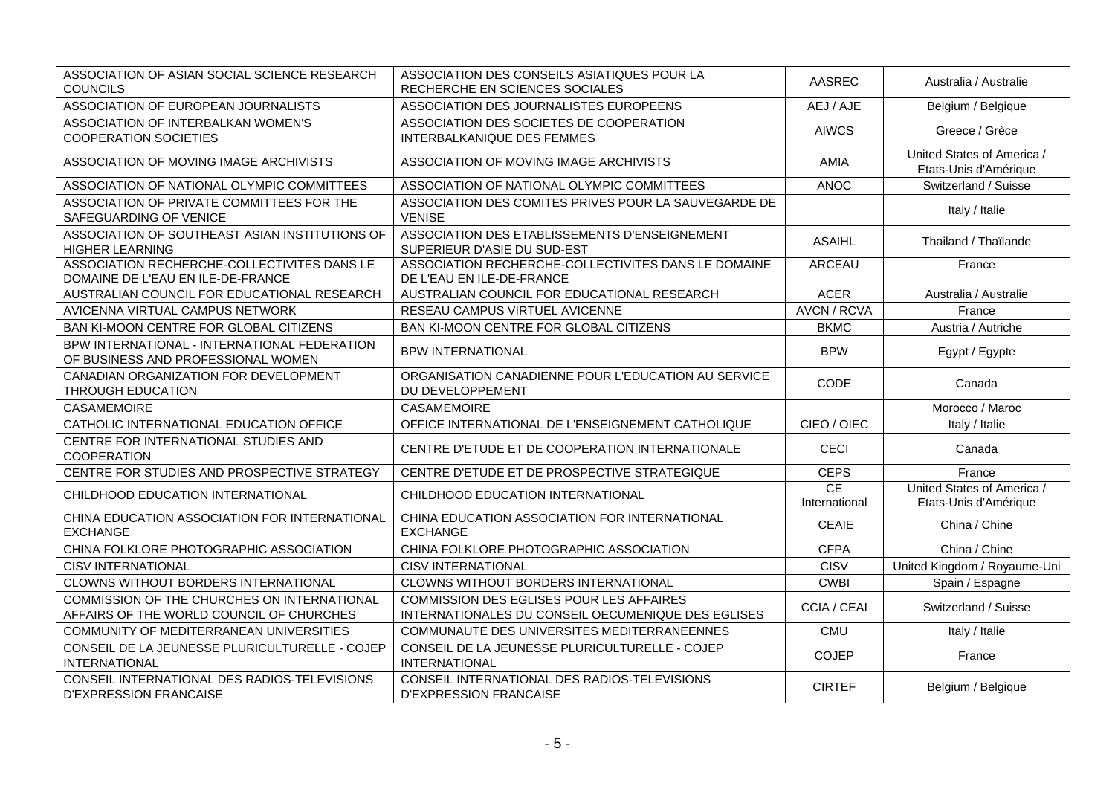| ASSOCIATION OF ASIAN SOCIAL SCIENCE RESEARCH<br><b>COUNCILS</b>                         | ASSOCIATION DES CONSEILS ASIATIQUES POUR LA<br>RECHERCHE EN SCIENCES SOCIALES                         | AASREC              | Australia / Australie                               |
|-----------------------------------------------------------------------------------------|-------------------------------------------------------------------------------------------------------|---------------------|-----------------------------------------------------|
| ASSOCIATION OF EUROPEAN JOURNALISTS                                                     | ASSOCIATION DES JOURNALISTES EUROPEENS                                                                | AEJ / AJE           | Belgium / Belgique                                  |
| ASSOCIATION OF INTERBALKAN WOMEN'S<br><b>COOPERATION SOCIETIES</b>                      | ASSOCIATION DES SOCIETES DE COOPERATION<br><b>INTERBALKANIQUE DES FEMMES</b>                          | <b>AIWCS</b>        | Greece / Grèce                                      |
| ASSOCIATION OF MOVING IMAGE ARCHIVISTS                                                  | ASSOCIATION OF MOVING IMAGE ARCHIVISTS                                                                | <b>AMIA</b>         | United States of America /<br>Etats-Unis d'Amérique |
| ASSOCIATION OF NATIONAL OLYMPIC COMMITTEES                                              | ASSOCIATION OF NATIONAL OLYMPIC COMMITTEES                                                            | <b>ANOC</b>         | Switzerland / Suisse                                |
| ASSOCIATION OF PRIVATE COMMITTEES FOR THE<br>SAFEGUARDING OF VENICE                     | ASSOCIATION DES COMITES PRIVES POUR LA SAUVEGARDE DE<br><b>VENISE</b>                                 |                     | Italy / Italie                                      |
| ASSOCIATION OF SOUTHEAST ASIAN INSTITUTIONS OF<br><b>HIGHER LEARNING</b>                | ASSOCIATION DES ETABLISSEMENTS D'ENSEIGNEMENT<br>SUPERIEUR D'ASIE DU SUD-EST                          | <b>ASAIHL</b>       | Thailand / Thaïlande                                |
| ASSOCIATION RECHERCHE-COLLECTIVITES DANS LE<br>DOMAINE DE L'EAU EN ILE-DE-FRANCE        | ASSOCIATION RECHERCHE-COLLECTIVITES DANS LE DOMAINE<br>DE L'EAU EN ILE-DE-FRANCE                      | <b>ARCEAU</b>       | France                                              |
| AUSTRALIAN COUNCIL FOR EDUCATIONAL RESEARCH                                             | AUSTRALIAN COUNCIL FOR EDUCATIONAL RESEARCH                                                           | <b>ACER</b>         | Australia / Australie                               |
| AVICENNA VIRTUAL CAMPUS NETWORK                                                         | RESEAU CAMPUS VIRTUEL AVICENNE                                                                        | <b>AVCN/RCVA</b>    | France                                              |
| BAN KI-MOON CENTRE FOR GLOBAL CITIZENS                                                  | BAN KI-MOON CENTRE FOR GLOBAL CITIZENS                                                                | <b>BKMC</b>         | Austria / Autriche                                  |
| BPW INTERNATIONAL - INTERNATIONAL FEDERATION<br>OF BUSINESS AND PROFESSIONAL WOMEN      | <b>BPW INTERNATIONAL</b>                                                                              | <b>BPW</b>          | Egypt / Egypte                                      |
| CANADIAN ORGANIZATION FOR DEVELOPMENT<br>THROUGH EDUCATION                              | ORGANISATION CANADIENNE POUR L'EDUCATION AU SERVICE<br>DU DEVELOPPEMENT                               | CODE                | Canada                                              |
| <b>CASAMEMOIRE</b>                                                                      | CASAMEMOIRE                                                                                           |                     | Morocco / Maroc                                     |
| CATHOLIC INTERNATIONAL EDUCATION OFFICE                                                 | OFFICE INTERNATIONAL DE L'ENSEIGNEMENT CATHOLIQUE                                                     | CIEO / OIEC         | Italy / Italie                                      |
| CENTRE FOR INTERNATIONAL STUDIES AND<br>COOPERATION                                     | CENTRE D'ETUDE ET DE COOPERATION INTERNATIONALE                                                       | <b>CECI</b>         | Canada                                              |
| CENTRE FOR STUDIES AND PROSPECTIVE STRATEGY                                             | CENTRE D'ETUDE ET DE PROSPECTIVE STRATEGIQUE                                                          | <b>CEPS</b>         | France                                              |
| CHILDHOOD EDUCATION INTERNATIONAL                                                       | CHILDHOOD EDUCATION INTERNATIONAL                                                                     | CE<br>International | United States of America /<br>Etats-Unis d'Amérique |
| CHINA EDUCATION ASSOCIATION FOR INTERNATIONAL<br><b>EXCHANGE</b>                        | CHINA EDUCATION ASSOCIATION FOR INTERNATIONAL<br><b>EXCHANGE</b>                                      | <b>CEAIE</b>        | China / Chine                                       |
| CHINA FOLKLORE PHOTOGRAPHIC ASSOCIATION                                                 | CHINA FOLKLORE PHOTOGRAPHIC ASSOCIATION                                                               | <b>CFPA</b>         | China / Chine                                       |
| <b>CISV INTERNATIONAL</b>                                                               | <b>CISV INTERNATIONAL</b>                                                                             | <b>CISV</b>         | United Kingdom / Royaume-Uni                        |
| CLOWNS WITHOUT BORDERS INTERNATIONAL                                                    | CLOWNS WITHOUT BORDERS INTERNATIONAL                                                                  | <b>CWBI</b>         | Spain / Espagne                                     |
| COMMISSION OF THE CHURCHES ON INTERNATIONAL<br>AFFAIRS OF THE WORLD COUNCIL OF CHURCHES | <b>COMMISSION DES EGLISES POUR LES AFFAIRES</b><br>INTERNATIONALES DU CONSEIL OECUMENIQUE DES EGLISES | <b>CCIA / CEAI</b>  | Switzerland / Suisse                                |
| COMMUNITY OF MEDITERRANEAN UNIVERSITIES                                                 | COMMUNAUTE DES UNIVERSITES MEDITERRANEENNES                                                           | <b>CMU</b>          | Italy / Italie                                      |
| CONSEIL DE LA JEUNESSE PLURICULTURELLE - COJEP<br><b>INTERNATIONAL</b>                  | CONSEIL DE LA JEUNESSE PLURICULTURELLE - COJEP<br><b>INTERNATIONAL</b>                                | <b>COJEP</b>        | France                                              |
| CONSEIL INTERNATIONAL DES RADIOS-TELEVISIONS<br><b>D'EXPRESSION FRANCAISE</b>           | CONSEIL INTERNATIONAL DES RADIOS-TELEVISIONS<br><b>D'EXPRESSION FRANCAISE</b>                         | <b>CIRTEF</b>       | Belgium / Belgique                                  |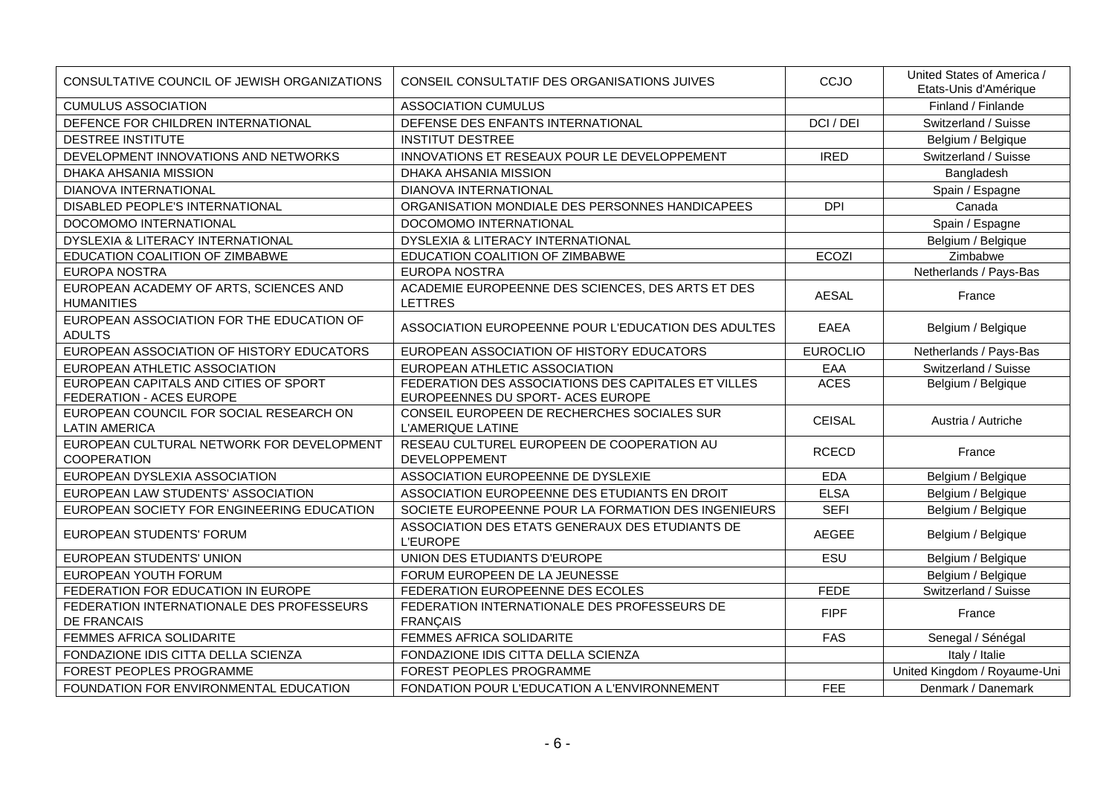| CONSULTATIVE COUNCIL OF JEWISH ORGANIZATIONS                      | CONSEIL CONSULTATIF DES ORGANISATIONS JUIVES                                             | CCJO            | United States of America /<br>Etats-Unis d'Amérique |
|-------------------------------------------------------------------|------------------------------------------------------------------------------------------|-----------------|-----------------------------------------------------|
| <b>CUMULUS ASSOCIATION</b>                                        | <b>ASSOCIATION CUMULUS</b>                                                               |                 | Finland / Finlande                                  |
| DEFENCE FOR CHILDREN INTERNATIONAL                                | DEFENSE DES ENFANTS INTERNATIONAL                                                        | DCI / DEI       | Switzerland / Suisse                                |
| <b>DESTREE INSTITUTE</b>                                          | <b>INSTITUT DESTREE</b>                                                                  |                 | Belgium / Belgique                                  |
| DEVELOPMENT INNOVATIONS AND NETWORKS                              | INNOVATIONS ET RESEAUX POUR LE DEVELOPPEMENT                                             | <b>IRED</b>     | Switzerland / Suisse                                |
| DHAKA AHSANIA MISSION                                             | DHAKA AHSANIA MISSION                                                                    |                 | Bangladesh                                          |
| DIANOVA INTERNATIONAL                                             | DIANOVA INTERNATIONAL                                                                    |                 | Spain / Espagne                                     |
| DISABLED PEOPLE'S INTERNATIONAL                                   | ORGANISATION MONDIALE DES PERSONNES HANDICAPEES                                          | <b>DPI</b>      | Canada                                              |
| DOCOMOMO INTERNATIONAL                                            | DOCOMOMO INTERNATIONAL                                                                   |                 | Spain / Espagne                                     |
| DYSLEXIA & LITERACY INTERNATIONAL                                 | DYSLEXIA & LITERACY INTERNATIONAL                                                        |                 | Belgium / Belgique                                  |
| EDUCATION COALITION OF ZIMBABWE                                   | EDUCATION COALITION OF ZIMBABWE                                                          | <b>ECOZI</b>    | Zimbabwe                                            |
| EUROPA NOSTRA                                                     | EUROPA NOSTRA                                                                            |                 | Netherlands / Pays-Bas                              |
| EUROPEAN ACADEMY OF ARTS, SCIENCES AND<br><b>HUMANITIES</b>       | ACADEMIE EUROPEENNE DES SCIENCES, DES ARTS ET DES<br><b>LETTRES</b>                      | AESAL           | France                                              |
| EUROPEAN ASSOCIATION FOR THE EDUCATION OF<br><b>ADULTS</b>        | ASSOCIATION EUROPEENNE POUR L'EDUCATION DES ADULTES                                      | EAEA            | Belgium / Belgique                                  |
| EUROPEAN ASSOCIATION OF HISTORY EDUCATORS                         | EUROPEAN ASSOCIATION OF HISTORY EDUCATORS                                                | <b>EUROCLIO</b> | Netherlands / Pays-Bas                              |
| EUROPEAN ATHLETIC ASSOCIATION                                     | EUROPEAN ATHLETIC ASSOCIATION                                                            | EAA             | Switzerland / Suisse                                |
| EUROPEAN CAPITALS AND CITIES OF SPORT<br>FEDERATION - ACES EUROPE | FEDERATION DES ASSOCIATIONS DES CAPITALES ET VILLES<br>EUROPEENNES DU SPORT- ACES EUROPE | <b>ACES</b>     | Belgium / Belgique                                  |
| EUROPEAN COUNCIL FOR SOCIAL RESEARCH ON<br><b>LATIN AMERICA</b>   | CONSEIL EUROPEEN DE RECHERCHES SOCIALES SUR<br>L'AMERIQUE LATINE                         | <b>CEISAL</b>   | Austria / Autriche                                  |
| EUROPEAN CULTURAL NETWORK FOR DEVELOPMENT<br><b>COOPERATION</b>   | RESEAU CULTUREL EUROPEEN DE COOPERATION AU<br><b>DEVELOPPEMENT</b>                       | <b>RCECD</b>    | France                                              |
| EUROPEAN DYSLEXIA ASSOCIATION                                     | ASSOCIATION EUROPEENNE DE DYSLEXIE                                                       | <b>EDA</b>      | Belgium / Belgique                                  |
| EUROPEAN LAW STUDENTS' ASSOCIATION                                | ASSOCIATION EUROPEENNE DES ETUDIANTS EN DROIT                                            | <b>ELSA</b>     | Belgium / Belgique                                  |
| EUROPEAN SOCIETY FOR ENGINEERING EDUCATION                        | SOCIETE EUROPEENNE POUR LA FORMATION DES INGENIEURS                                      | <b>SEFI</b>     | Belgium / Belgique                                  |
| <b>EUROPEAN STUDENTS' FORUM</b>                                   | ASSOCIATION DES ETATS GENERAUX DES ETUDIANTS DE<br><b>L'EUROPE</b>                       | <b>AEGEE</b>    | Belgium / Belgique                                  |
| EUROPEAN STUDENTS' UNION                                          | UNION DES ETUDIANTS D'EUROPE                                                             | ESU             | Belgium / Belgique                                  |
| EUROPEAN YOUTH FORUM                                              | FORUM EUROPEEN DE LA JEUNESSE                                                            |                 | Belgium / Belgique                                  |
| FEDERATION FOR EDUCATION IN EUROPE                                | FEDERATION EUROPEENNE DES ECOLES                                                         | <b>FEDE</b>     | Switzerland / Suisse                                |
| FEDERATION INTERNATIONALE DES PROFESSEURS<br><b>DE FRANCAIS</b>   | FEDERATION INTERNATIONALE DES PROFESSEURS DE<br><b>FRANÇAIS</b>                          | <b>FIPF</b>     | France                                              |
| FEMMES AFRICA SOLIDARITE                                          | FEMMES AFRICA SOLIDARITE                                                                 | <b>FAS</b>      | Senegal / Sénégal                                   |
| FONDAZIONE IDIS CITTA DELLA SCIENZA                               | FONDAZIONE IDIS CITTA DELLA SCIENZA                                                      |                 | Italy / Italie                                      |
| FOREST PEOPLES PROGRAMME                                          | FOREST PEOPLES PROGRAMME                                                                 |                 | United Kingdom / Royaume-Uni                        |
| FOUNDATION FOR ENVIRONMENTAL EDUCATION                            | FONDATION POUR L'EDUCATION A L'ENVIRONNEMENT                                             | FEE             | Denmark / Danemark                                  |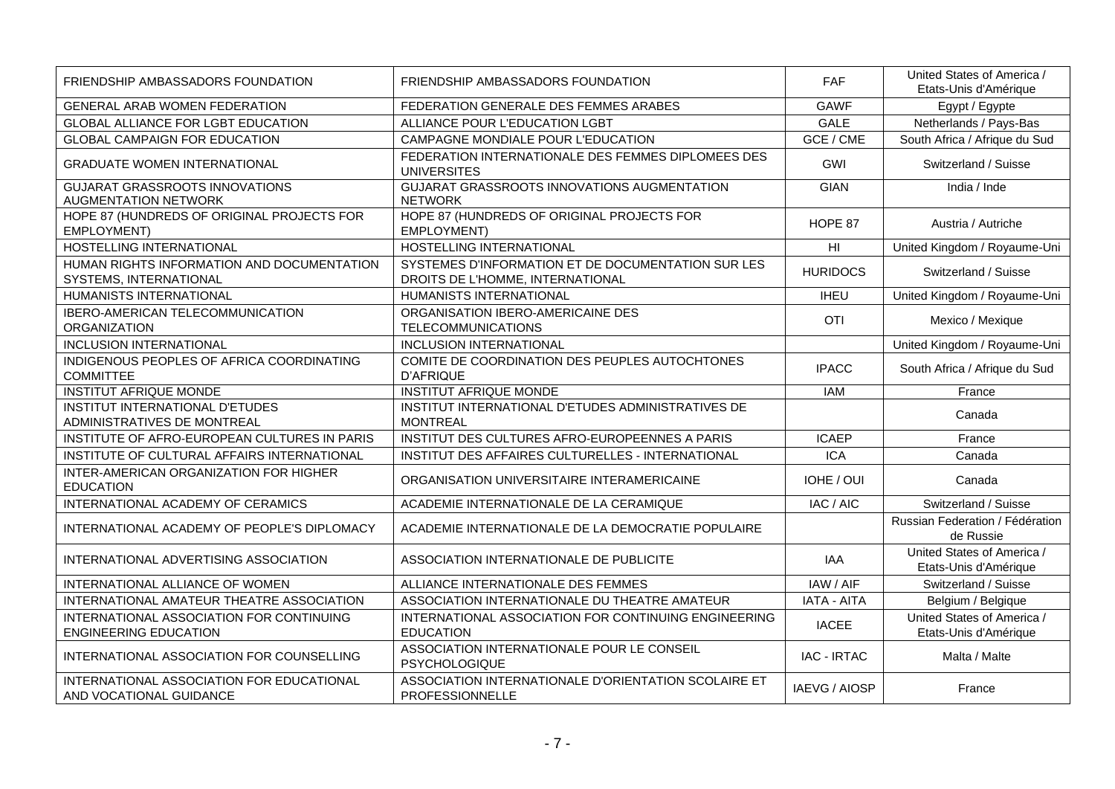| FRIENDSHIP AMBASSADORS FOUNDATION                                        | FRIENDSHIP AMBASSADORS FOUNDATION                                                      | <b>FAF</b>         | United States of America /<br>Etats-Unis d'Amérique |
|--------------------------------------------------------------------------|----------------------------------------------------------------------------------------|--------------------|-----------------------------------------------------|
| GENERAL ARAB WOMEN FEDERATION                                            | FEDERATION GENERALE DES FEMMES ARABES                                                  | <b>GAWF</b>        | Egypt / Egypte                                      |
| GLOBAL ALLIANCE FOR LGBT EDUCATION                                       | ALLIANCE POUR L'EDUCATION LGBT                                                         | <b>GALE</b>        | Netherlands / Pays-Bas                              |
| <b>GLOBAL CAMPAIGN FOR EDUCATION</b>                                     | CAMPAGNE MONDIALE POUR L'EDUCATION                                                     | GCE / CME          | South Africa / Afrique du Sud                       |
| <b>GRADUATE WOMEN INTERNATIONAL</b>                                      | FEDERATION INTERNATIONALE DES FEMMES DIPLOMEES DES<br><b>UNIVERSITES</b>               | GWI                | Switzerland / Suisse                                |
| <b>GUJARAT GRASSROOTS INNOVATIONS</b><br><b>AUGMENTATION NETWORK</b>     | GUJARAT GRASSROOTS INNOVATIONS AUGMENTATION<br><b>NETWORK</b>                          | <b>GIAN</b>        | India / Inde                                        |
| HOPE 87 (HUNDREDS OF ORIGINAL PROJECTS FOR<br>EMPLOYMENT)                | HOPE 87 (HUNDREDS OF ORIGINAL PROJECTS FOR<br>EMPLOYMENT)                              | HOPE 87            | Austria / Autriche                                  |
| HOSTELLING INTERNATIONAL                                                 | HOSTELLING INTERNATIONAL                                                               | H <sub>l</sub>     | United Kingdom / Royaume-Uni                        |
| HUMAN RIGHTS INFORMATION AND DOCUMENTATION<br>SYSTEMS, INTERNATIONAL     | SYSTEMES D'INFORMATION ET DE DOCUMENTATION SUR LES<br>DROITS DE L'HOMME, INTERNATIONAL | <b>HURIDOCS</b>    | Switzerland / Suisse                                |
| HUMANISTS INTERNATIONAL                                                  | HUMANISTS INTERNATIONAL                                                                | <b>IHEU</b>        | United Kingdom / Royaume-Uni                        |
| <b>IBERO-AMERICAN TELECOMMUNICATION</b><br><b>ORGANIZATION</b>           | ORGANISATION IBERO-AMERICAINE DES<br><b>TELECOMMUNICATIONS</b>                         | <b>OTI</b>         | Mexico / Mexique                                    |
| <b>INCLUSION INTERNATIONAL</b>                                           | <b>INCLUSION INTERNATIONAL</b>                                                         |                    | United Kingdom / Royaume-Uni                        |
| INDIGENOUS PEOPLES OF AFRICA COORDINATING<br><b>COMMITTEE</b>            | COMITE DE COORDINATION DES PEUPLES AUTOCHTONES<br><b>D'AFRIQUE</b>                     | <b>IPACC</b>       | South Africa / Afrique du Sud                       |
| <b>INSTITUT AFRIQUE MONDE</b>                                            | <b>INSTITUT AFRIQUE MONDE</b>                                                          | <b>IAM</b>         | France                                              |
| INSTITUT INTERNATIONAL D'ETUDES<br>ADMINISTRATIVES DE MONTREAL           | INSTITUT INTERNATIONAL D'ETUDES ADMINISTRATIVES DE<br><b>MONTREAL</b>                  |                    | Canada                                              |
| INSTITUTE OF AFRO-EUROPEAN CULTURES IN PARIS                             | INSTITUT DES CULTURES AFRO-EUROPEENNES A PARIS                                         | <b>ICAEP</b>       | France                                              |
| INSTITUTE OF CULTURAL AFFAIRS INTERNATIONAL                              | INSTITUT DES AFFAIRES CULTURELLES - INTERNATIONAL                                      | <b>ICA</b>         | Canada                                              |
| INTER-AMERICAN ORGANIZATION FOR HIGHER<br><b>EDUCATION</b>               | ORGANISATION UNIVERSITAIRE INTERAMERICAINE                                             | IOHE / OUI         | Canada                                              |
| INTERNATIONAL ACADEMY OF CERAMICS                                        | ACADEMIE INTERNATIONALE DE LA CERAMIQUE                                                | IAC / AIC          | Switzerland / Suisse                                |
| INTERNATIONAL ACADEMY OF PEOPLE'S DIPLOMACY                              | ACADEMIE INTERNATIONALE DE LA DEMOCRATIE POPULAIRE                                     |                    | Russian Federation / Fédération<br>de Russie        |
| INTERNATIONAL ADVERTISING ASSOCIATION                                    | ASSOCIATION INTERNATIONALE DE PUBLICITE                                                | <b>IAA</b>         | United States of America /<br>Etats-Unis d'Amérique |
| INTERNATIONAL ALLIANCE OF WOMEN                                          | ALLIANCE INTERNATIONALE DES FEMMES                                                     | IAW / AIF          | Switzerland / Suisse                                |
| INTERNATIONAL AMATEUR THEATRE ASSOCIATION                                | ASSOCIATION INTERNATIONALE DU THEATRE AMATEUR                                          | <b>IATA - AITA</b> | Belgium / Belgique                                  |
| INTERNATIONAL ASSOCIATION FOR CONTINUING<br><b>ENGINEERING EDUCATION</b> | INTERNATIONAL ASSOCIATION FOR CONTINUING ENGINEERING<br><b>EDUCATION</b>               | <b>IACEE</b>       | United States of America /<br>Etats-Unis d'Amérique |
| INTERNATIONAL ASSOCIATION FOR COUNSELLING                                | ASSOCIATION INTERNATIONALE POUR LE CONSEIL<br><b>PSYCHOLOGIQUE</b>                     | <b>IAC - IRTAC</b> | Malta / Malte                                       |
| INTERNATIONAL ASSOCIATION FOR EDUCATIONAL<br>AND VOCATIONAL GUIDANCE     | ASSOCIATION INTERNATIONALE D'ORIENTATION SCOLAIRE ET<br>PROFESSIONNELLE                | IAEVG / AIOSP      | France                                              |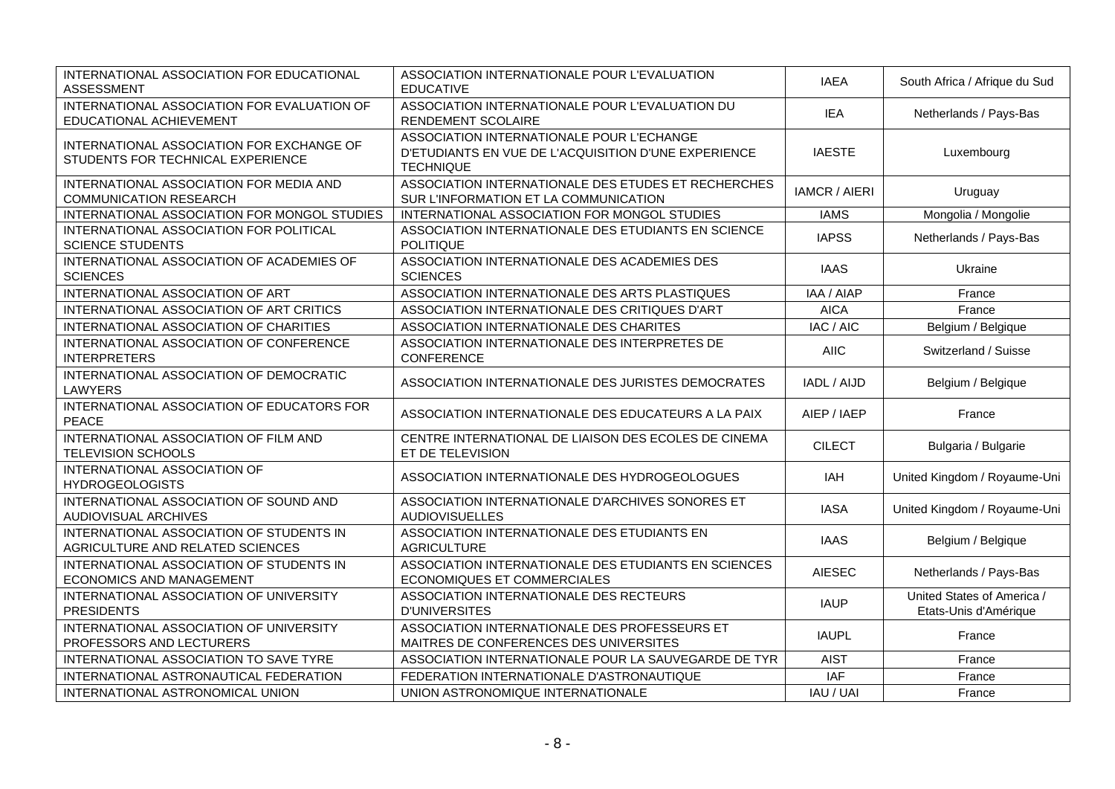| INTERNATIONAL ASSOCIATION FOR EDUCATIONAL<br><b>ASSESSMENT</b>                 | ASSOCIATION INTERNATIONALE POUR L'EVALUATION<br><b>EDUCATIVE</b>                                                      | <b>IAEA</b>            | South Africa / Afrique du Sud                       |
|--------------------------------------------------------------------------------|-----------------------------------------------------------------------------------------------------------------------|------------------------|-----------------------------------------------------|
| INTERNATIONAL ASSOCIATION FOR EVALUATION OF<br>EDUCATIONAL ACHIEVEMENT         | ASSOCIATION INTERNATIONALE POUR L'EVALUATION DU<br>RENDEMENT SCOLAIRE                                                 | <b>IEA</b>             | Netherlands / Pays-Bas                              |
| INTERNATIONAL ASSOCIATION FOR EXCHANGE OF<br>STUDENTS FOR TECHNICAL EXPERIENCE | ASSOCIATION INTERNATIONALE POUR L'ECHANGE<br>D'ETUDIANTS EN VUE DE L'ACQUISITION D'UNE EXPERIENCE<br><b>TECHNIQUE</b> | <b>IAESTE</b>          | Luxembourg                                          |
| INTERNATIONAL ASSOCIATION FOR MEDIA AND<br><b>COMMUNICATION RESEARCH</b>       | ASSOCIATION INTERNATIONALE DES ETUDES ET RECHERCHES<br>SUR L'INFORMATION ET LA COMMUNICATION                          | <b>IAMCR / AIERI</b>   | Uruguay                                             |
| INTERNATIONAL ASSOCIATION FOR MONGOL STUDIES                                   | INTERNATIONAL ASSOCIATION FOR MONGOL STUDIES                                                                          | <b>IAMS</b>            | Mongolia / Mongolie                                 |
| INTERNATIONAL ASSOCIATION FOR POLITICAL<br><b>SCIENCE STUDENTS</b>             | ASSOCIATION INTERNATIONALE DES ETUDIANTS EN SCIENCE<br><b>POLITIQUE</b>                                               | <b>IAPSS</b>           | Netherlands / Pays-Bas                              |
| INTERNATIONAL ASSOCIATION OF ACADEMIES OF<br><b>SCIENCES</b>                   | ASSOCIATION INTERNATIONALE DES ACADEMIES DES<br><b>SCIENCES</b>                                                       | <b>IAAS</b>            | Ukraine                                             |
| INTERNATIONAL ASSOCIATION OF ART                                               | ASSOCIATION INTERNATIONALE DES ARTS PLASTIQUES                                                                        | IAA / AIAP             | France                                              |
| INTERNATIONAL ASSOCIATION OF ART CRITICS                                       | ASSOCIATION INTERNATIONALE DES CRITIQUES D'ART                                                                        | <b>AICA</b>            | France                                              |
| INTERNATIONAL ASSOCIATION OF CHARITIES                                         | ASSOCIATION INTERNATIONALE DES CHARITES                                                                               | $\overline{IAC}$ / AIC | Belgium / Belgique                                  |
| INTERNATIONAL ASSOCIATION OF CONFERENCE<br><b>INTERPRETERS</b>                 | ASSOCIATION INTERNATIONALE DES INTERPRETES DE<br>CONFERENCE                                                           | <b>AIIC</b>            | Switzerland / Suisse                                |
| INTERNATIONAL ASSOCIATION OF DEMOCRATIC<br>LAWYERS                             | ASSOCIATION INTERNATIONALE DES JURISTES DEMOCRATES                                                                    | IADL / AIJD            | Belgium / Belgique                                  |
| INTERNATIONAL ASSOCIATION OF EDUCATORS FOR<br><b>PEACE</b>                     | ASSOCIATION INTERNATIONALE DES EDUCATEURS A LA PAIX                                                                   | AIEP / IAEP            | France                                              |
| INTERNATIONAL ASSOCIATION OF FILM AND<br>TELEVISION SCHOOLS                    | CENTRE INTERNATIONAL DE LIAISON DES ECOLES DE CINEMA<br>ET DE TELEVISION                                              | <b>CILECT</b>          | Bulgaria / Bulgarie                                 |
| INTERNATIONAL ASSOCIATION OF<br><b>HYDROGEOLOGISTS</b>                         | ASSOCIATION INTERNATIONALE DES HYDROGEOLOGUES                                                                         | IAH                    | United Kingdom / Royaume-Uni                        |
| INTERNATIONAL ASSOCIATION OF SOUND AND<br>AUDIOVISUAL ARCHIVES                 | ASSOCIATION INTERNATIONALE D'ARCHIVES SONORES ET<br><b>AUDIOVISUELLES</b>                                             | <b>IASA</b>            | United Kingdom / Royaume-Uni                        |
| INTERNATIONAL ASSOCIATION OF STUDENTS IN<br>AGRICULTURE AND RELATED SCIENCES   | ASSOCIATION INTERNATIONALE DES ETUDIANTS EN<br><b>AGRICULTURE</b>                                                     | <b>IAAS</b>            | Belgium / Belgique                                  |
| INTERNATIONAL ASSOCIATION OF STUDENTS IN<br><b>ECONOMICS AND MANAGEMENT</b>    | ASSOCIATION INTERNATIONALE DES ETUDIANTS EN SCIENCES<br>ECONOMIQUES ET COMMERCIALES                                   | <b>AIESEC</b>          | Netherlands / Pays-Bas                              |
| INTERNATIONAL ASSOCIATION OF UNIVERSITY<br><b>PRESIDENTS</b>                   | ASSOCIATION INTERNATIONALE DES RECTEURS<br><b>D'UNIVERSITES</b>                                                       | <b>IAUP</b>            | United States of America /<br>Etats-Unis d'Amérique |
| INTERNATIONAL ASSOCIATION OF UNIVERSITY<br>PROFESSORS AND LECTURERS            | ASSOCIATION INTERNATIONALE DES PROFESSEURS ET<br>MAITRES DE CONFERENCES DES UNIVERSITES                               | <b>IAUPL</b>           | France                                              |
| INTERNATIONAL ASSOCIATION TO SAVE TYRE                                         | ASSOCIATION INTERNATIONALE POUR LA SAUVEGARDE DE TYR                                                                  | <b>AIST</b>            | France                                              |
| INTERNATIONAL ASTRONAUTICAL FEDERATION                                         | FEDERATION INTERNATIONALE D'ASTRONAUTIQUE                                                                             | <b>IAF</b>             | France                                              |
| INTERNATIONAL ASTRONOMICAL UNION                                               | UNION ASTRONOMIQUE INTERNATIONALE                                                                                     | IAU / UAI              | France                                              |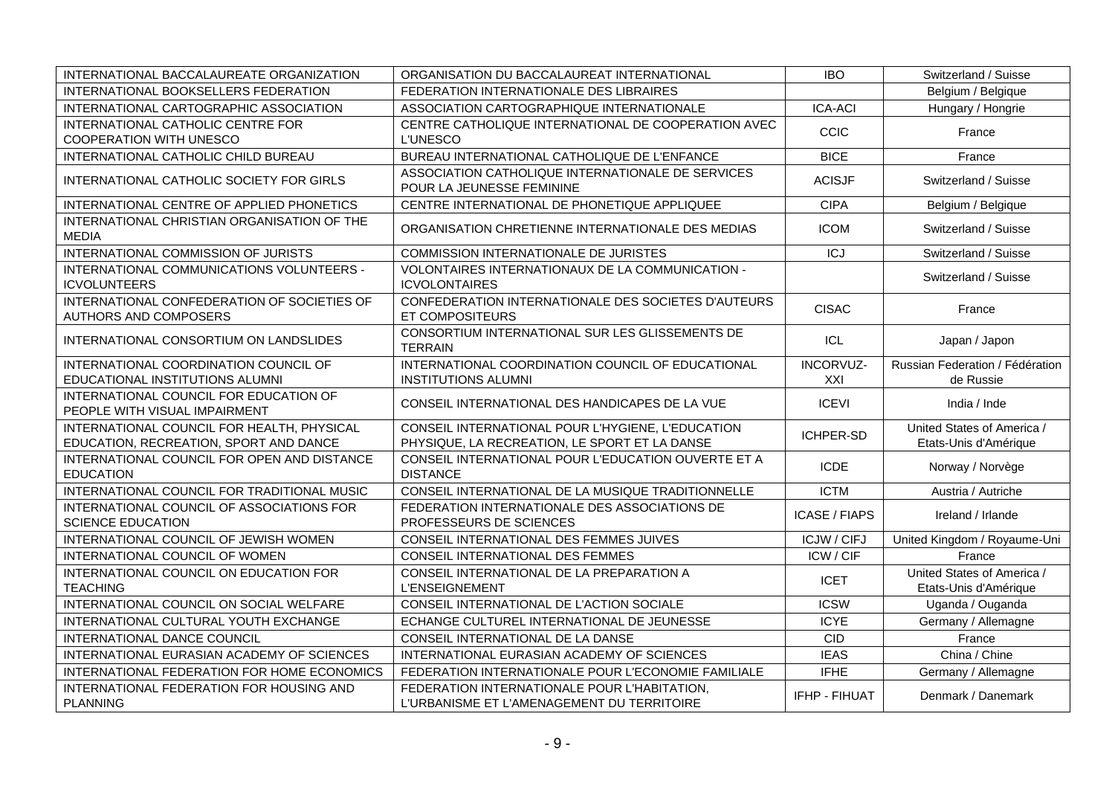| INTERNATIONAL BACCALAUREATE ORGANIZATION                                             | ORGANISATION DU BACCALAUREAT INTERNATIONAL                                                         | <b>IBO</b>           | Switzerland / Suisse                                |
|--------------------------------------------------------------------------------------|----------------------------------------------------------------------------------------------------|----------------------|-----------------------------------------------------|
| INTERNATIONAL BOOKSELLERS FEDERATION                                                 | FEDERATION INTERNATIONALE DES LIBRAIRES                                                            |                      | Belgium / Belgique                                  |
| INTERNATIONAL CARTOGRAPHIC ASSOCIATION                                               | ASSOCIATION CARTOGRAPHIQUE INTERNATIONALE                                                          | <b>ICA-ACI</b>       | Hungary / Hongrie                                   |
| INTERNATIONAL CATHOLIC CENTRE FOR<br><b>COOPERATION WITH UNESCO</b>                  | CENTRE CATHOLIQUE INTERNATIONAL DE COOPERATION AVEC<br><b>L'UNESCO</b>                             | <b>CCIC</b>          | France                                              |
| INTERNATIONAL CATHOLIC CHILD BUREAU                                                  | BUREAU INTERNATIONAL CATHOLIQUE DE L'ENFANCE                                                       | <b>BICE</b>          | France                                              |
| INTERNATIONAL CATHOLIC SOCIETY FOR GIRLS                                             | ASSOCIATION CATHOLIQUE INTERNATIONALE DE SERVICES<br>POUR LA JEUNESSE FEMININE                     | <b>ACISJF</b>        | Switzerland / Suisse                                |
| INTERNATIONAL CENTRE OF APPLIED PHONETICS                                            | CENTRE INTERNATIONAL DE PHONETIQUE APPLIQUEE                                                       | <b>CIPA</b>          | Belgium / Belgique                                  |
| INTERNATIONAL CHRISTIAN ORGANISATION OF THE<br><b>MEDIA</b>                          | ORGANISATION CHRETIENNE INTERNATIONALE DES MEDIAS                                                  | <b>ICOM</b>          | Switzerland / Suisse                                |
| INTERNATIONAL COMMISSION OF JURISTS                                                  | COMMISSION INTERNATIONALE DE JURISTES                                                              | <b>ICJ</b>           | Switzerland / Suisse                                |
| INTERNATIONAL COMMUNICATIONS VOLUNTEERS -<br><b>ICVOLUNTEERS</b>                     | VOLONTAIRES INTERNATIONAUX DE LA COMMUNICATION -<br><b>ICVOLONTAIRES</b>                           |                      | Switzerland / Suisse                                |
| INTERNATIONAL CONFEDERATION OF SOCIETIES OF<br>AUTHORS AND COMPOSERS                 | CONFEDERATION INTERNATIONALE DES SOCIETES D'AUTEURS<br>ET COMPOSITEURS                             | <b>CISAC</b>         | France                                              |
| INTERNATIONAL CONSORTIUM ON LANDSLIDES                                               | CONSORTIUM INTERNATIONAL SUR LES GLISSEMENTS DE<br><b>TERRAIN</b>                                  | ICL                  | Japan / Japon                                       |
| INTERNATIONAL COORDINATION COUNCIL OF<br>EDUCATIONAL INSTITUTIONS ALUMNI             | INTERNATIONAL COORDINATION COUNCIL OF EDUCATIONAL<br><b>INSTITUTIONS ALUMNI</b>                    | INCORVUZ-<br>XXI     | Russian Federation / Fédération<br>de Russie        |
| INTERNATIONAL COUNCIL FOR EDUCATION OF<br>PEOPLE WITH VISUAL IMPAIRMENT              | CONSEIL INTERNATIONAL DES HANDICAPES DE LA VUE                                                     | <b>ICEVI</b>         | India / Inde                                        |
| INTERNATIONAL COUNCIL FOR HEALTH, PHYSICAL<br>EDUCATION, RECREATION, SPORT AND DANCE | CONSEIL INTERNATIONAL POUR L'HYGIENE, L'EDUCATION<br>PHYSIQUE, LA RECREATION, LE SPORT ET LA DANSE | <b>ICHPER-SD</b>     | United States of America /<br>Etats-Unis d'Amérique |
| INTERNATIONAL COUNCIL FOR OPEN AND DISTANCE<br><b>EDUCATION</b>                      | CONSEIL INTERNATIONAL POUR L'EDUCATION OUVERTE ET A<br><b>DISTANCE</b>                             | <b>ICDE</b>          | Norway / Norvège                                    |
| INTERNATIONAL COUNCIL FOR TRADITIONAL MUSIC                                          | CONSEIL INTERNATIONAL DE LA MUSIQUE TRADITIONNELLE                                                 | <b>ICTM</b>          | Austria / Autriche                                  |
| INTERNATIONAL COUNCIL OF ASSOCIATIONS FOR<br><b>SCIENCE EDUCATION</b>                | FEDERATION INTERNATIONALE DES ASSOCIATIONS DE<br>PROFESSEURS DE SCIENCES                           | <b>ICASE / FIAPS</b> | Ireland / Irlande                                   |
| INTERNATIONAL COUNCIL OF JEWISH WOMEN                                                | CONSEIL INTERNATIONAL DES FEMMES JUIVES                                                            | <b>ICJW/CIFJ</b>     | United Kingdom / Royaume-Uni                        |
| INTERNATIONAL COUNCIL OF WOMEN                                                       | CONSEIL INTERNATIONAL DES FEMMES                                                                   | ICW/CIF              | France                                              |
| INTERNATIONAL COUNCIL ON EDUCATION FOR<br><b>TEACHING</b>                            | CONSEIL INTERNATIONAL DE LA PREPARATION A<br><b>L'ENSEIGNEMENT</b>                                 | <b>ICET</b>          | United States of America /<br>Etats-Unis d'Amérique |
| INTERNATIONAL COUNCIL ON SOCIAL WELFARE                                              | CONSEIL INTERNATIONAL DE L'ACTION SOCIALE                                                          | <b>ICSW</b>          | Uganda / Ouganda                                    |
| INTERNATIONAL CULTURAL YOUTH EXCHANGE                                                | ECHANGE CULTUREL INTERNATIONAL DE JEUNESSE                                                         | <b>ICYE</b>          | Germany / Allemagne                                 |
| INTERNATIONAL DANCE COUNCIL                                                          | CONSEIL INTERNATIONAL DE LA DANSE                                                                  | <b>CID</b>           | France                                              |
| INTERNATIONAL EURASIAN ACADEMY OF SCIENCES                                           | INTERNATIONAL EURASIAN ACADEMY OF SCIENCES                                                         | <b>IEAS</b>          | China / Chine                                       |
| INTERNATIONAL FEDERATION FOR HOME ECONOMICS                                          | FEDERATION INTERNATIONALE POUR L'ECONOMIE FAMILIALE                                                | <b>IFHE</b>          | Germany / Allemagne                                 |
| INTERNATIONAL FEDERATION FOR HOUSING AND<br><b>PLANNING</b>                          | FEDERATION INTERNATIONALE POUR L'HABITATION.<br>L'URBANISME ET L'AMENAGEMENT DU TERRITOIRE         | IFHP - FIHUAT        | Denmark / Danemark                                  |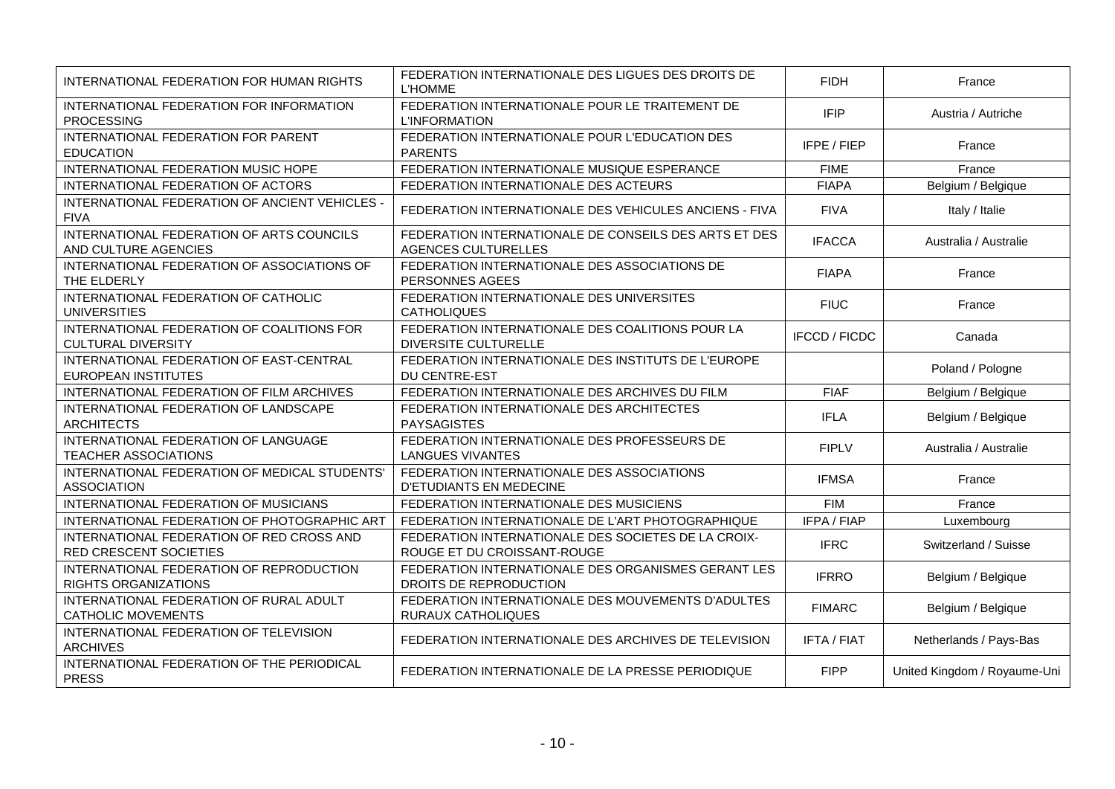| INTERNATIONAL FEDERATION FOR HUMAN RIGHTS                               | FEDERATION INTERNATIONALE DES LIGUES DES DROITS DE<br><b>L'HOMME</b>                | <b>FIDH</b>          | France                       |
|-------------------------------------------------------------------------|-------------------------------------------------------------------------------------|----------------------|------------------------------|
| INTERNATIONAL FEDERATION FOR INFORMATION<br><b>PROCESSING</b>           | FEDERATION INTERNATIONALE POUR LE TRAITEMENT DE<br><b>L'INFORMATION</b>             | <b>IFIP</b>          | Austria / Autriche           |
| INTERNATIONAL FEDERATION FOR PARENT<br><b>EDUCATION</b>                 | FEDERATION INTERNATIONALE POUR L'EDUCATION DES<br><b>PARENTS</b>                    | IFPE / FIEP          | France                       |
| INTERNATIONAL FEDERATION MUSIC HOPE                                     | FEDERATION INTERNATIONALE MUSIQUE ESPERANCE                                         | <b>FIME</b>          | France                       |
| INTERNATIONAL FEDERATION OF ACTORS                                      | FEDERATION INTERNATIONALE DES ACTEURS                                               | <b>FIAPA</b>         | Belgium / Belgique           |
| INTERNATIONAL FEDERATION OF ANCIENT VEHICLES -<br><b>FIVA</b>           | FEDERATION INTERNATIONALE DES VEHICULES ANCIENS - FIVA                              | <b>FIVA</b>          | Italy / Italie               |
| INTERNATIONAL FEDERATION OF ARTS COUNCILS<br>AND CULTURE AGENCIES       | FEDERATION INTERNATIONALE DE CONSEILS DES ARTS ET DES<br><b>AGENCES CULTURELLES</b> | <b>IFACCA</b>        | Australia / Australie        |
| INTERNATIONAL FEDERATION OF ASSOCIATIONS OF<br>THE ELDERLY              | FEDERATION INTERNATIONALE DES ASSOCIATIONS DE<br>PERSONNES AGEES                    | <b>FIAPA</b>         | France                       |
| INTERNATIONAL FEDERATION OF CATHOLIC<br><b>UNIVERSITIES</b>             | FEDERATION INTERNATIONALE DES UNIVERSITES<br><b>CATHOLIQUES</b>                     | <b>FIUC</b>          | France                       |
| INTERNATIONAL FEDERATION OF COALITIONS FOR<br><b>CULTURAL DIVERSITY</b> | FEDERATION INTERNATIONALE DES COALITIONS POUR LA<br><b>DIVERSITE CULTURELLE</b>     | <b>IFCCD / FICDC</b> | Canada                       |
| INTERNATIONAL FEDERATION OF EAST-CENTRAL<br>EUROPEAN INSTITUTES         | FEDERATION INTERNATIONALE DES INSTITUTS DE L'EUROPE<br><b>DU CENTRE-EST</b>         |                      | Poland / Pologne             |
| INTERNATIONAL FEDERATION OF FILM ARCHIVES                               | FEDERATION INTERNATIONALE DES ARCHIVES DU FILM                                      | <b>FIAF</b>          | Belgium / Belgique           |
| INTERNATIONAL FEDERATION OF LANDSCAPE<br><b>ARCHITECTS</b>              | FEDERATION INTERNATIONALE DES ARCHITECTES<br><b>PAYSAGISTES</b>                     | <b>IFLA</b>          | Belgium / Belgique           |
| INTERNATIONAL FEDERATION OF LANGUAGE<br><b>TEACHER ASSOCIATIONS</b>     | FEDERATION INTERNATIONALE DES PROFESSEURS DE<br><b>LANGUES VIVANTES</b>             | <b>FIPLV</b>         | Australia / Australie        |
| INTERNATIONAL FEDERATION OF MEDICAL STUDENTS'<br><b>ASSOCIATION</b>     | FEDERATION INTERNATIONALE DES ASSOCIATIONS<br><b>D'ETUDIANTS EN MEDECINE</b>        | <b>IFMSA</b>         | France                       |
| INTERNATIONAL FEDERATION OF MUSICIANS                                   | FEDERATION INTERNATIONALE DES MUSICIENS                                             | <b>FIM</b>           | France                       |
| INTERNATIONAL FEDERATION OF PHOTOGRAPHIC ART                            | FEDERATION INTERNATIONALE DE L'ART PHOTOGRAPHIQUE                                   | IFPA / FIAP          | Luxembourg                   |
| INTERNATIONAL FEDERATION OF RED CROSS AND<br>RED CRESCENT SOCIETIES     | FEDERATION INTERNATIONALE DES SOCIETES DE LA CROIX-<br>ROUGE ET DU CROISSANT-ROUGE  | <b>IFRC</b>          | Switzerland / Suisse         |
| INTERNATIONAL FEDERATION OF REPRODUCTION<br>RIGHTS ORGANIZATIONS        | FEDERATION INTERNATIONALE DES ORGANISMES GERANT LES<br>DROITS DE REPRODUCTION       | <b>IFRRO</b>         | Belgium / Belgique           |
| INTERNATIONAL FEDERATION OF RURAL ADULT<br><b>CATHOLIC MOVEMENTS</b>    | FEDERATION INTERNATIONALE DES MOUVEMENTS D'ADULTES<br><b>RURAUX CATHOLIQUES</b>     | <b>FIMARC</b>        | Belgium / Belgique           |
| INTERNATIONAL FEDERATION OF TELEVISION<br><b>ARCHIVES</b>               | FEDERATION INTERNATIONALE DES ARCHIVES DE TELEVISION                                | <b>IFTA / FIAT</b>   | Netherlands / Pays-Bas       |
| INTERNATIONAL FEDERATION OF THE PERIODICAL<br><b>PRESS</b>              | FEDERATION INTERNATIONALE DE LA PRESSE PERIODIQUE                                   | <b>FIPP</b>          | United Kingdom / Royaume-Uni |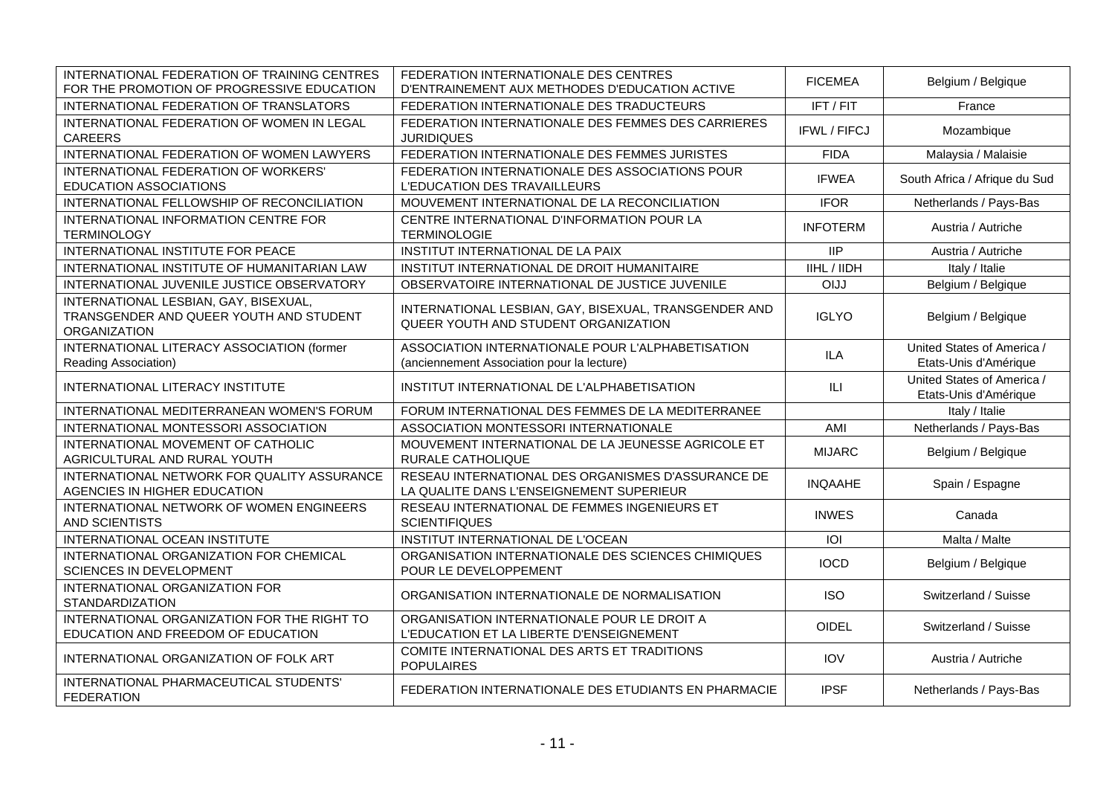| INTERNATIONAL FEDERATION OF TRAINING CENTRES<br>FOR THE PROMOTION OF PROGRESSIVE EDUCATION              | FEDERATION INTERNATIONALE DES CENTRES<br>D'ENTRAINEMENT AUX METHODES D'EDUCATION ACTIVE         | <b>FICEMEA</b>      | Belgium / Belgique                                  |
|---------------------------------------------------------------------------------------------------------|-------------------------------------------------------------------------------------------------|---------------------|-----------------------------------------------------|
| INTERNATIONAL FEDERATION OF TRANSLATORS                                                                 | FEDERATION INTERNATIONALE DES TRADUCTEURS                                                       | IFT / FIT           | France                                              |
| INTERNATIONAL FEDERATION OF WOMEN IN LEGAL<br><b>CAREERS</b>                                            | FEDERATION INTERNATIONALE DES FEMMES DES CARRIERES<br><b>JURIDIQUES</b>                         | <b>IFWL / FIFCJ</b> | Mozambique                                          |
| INTERNATIONAL FEDERATION OF WOMEN LAWYERS                                                               | FEDERATION INTERNATIONALE DES FEMMES JURISTES                                                   | <b>FIDA</b>         | Malaysia / Malaisie                                 |
| INTERNATIONAL FEDERATION OF WORKERS'<br>EDUCATION ASSOCIATIONS                                          | FEDERATION INTERNATIONALE DES ASSOCIATIONS POUR<br>L'EDUCATION DES TRAVAILLEURS                 | <b>IFWEA</b>        | South Africa / Afrique du Sud                       |
| INTERNATIONAL FELLOWSHIP OF RECONCILIATION                                                              | MOUVEMENT INTERNATIONAL DE LA RECONCILIATION                                                    | <b>IFOR</b>         | Netherlands / Pays-Bas                              |
| INTERNATIONAL INFORMATION CENTRE FOR<br><b>TERMINOLOGY</b>                                              | CENTRE INTERNATIONAL D'INFORMATION POUR LA<br><b>TERMINOLOGIE</b>                               | <b>INFOTERM</b>     | Austria / Autriche                                  |
| INTERNATIONAL INSTITUTE FOR PEACE                                                                       | INSTITUT INTERNATIONAL DE LA PAIX                                                               | <b>IIP</b>          | Austria / Autriche                                  |
| INTERNATIONAL INSTITUTE OF HUMANITARIAN LAW                                                             | INSTITUT INTERNATIONAL DE DROIT HUMANITAIRE                                                     | IIHL / IIDH         | Italy / Italie                                      |
| INTERNATIONAL JUVENILE JUSTICE OBSERVATORY                                                              | OBSERVATOIRE INTERNATIONAL DE JUSTICE JUVENILE                                                  | <b>OIJJ</b>         | Belgium / Belgique                                  |
| INTERNATIONAL LESBIAN, GAY, BISEXUAL,<br>TRANSGENDER AND QUEER YOUTH AND STUDENT<br><b>ORGANIZATION</b> | INTERNATIONAL LESBIAN, GAY, BISEXUAL, TRANSGENDER AND<br>QUEER YOUTH AND STUDENT ORGANIZATION   | <b>IGLYO</b>        | Belgium / Belgique                                  |
| INTERNATIONAL LITERACY ASSOCIATION (former<br>Reading Association)                                      | ASSOCIATION INTERNATIONALE POUR L'ALPHABETISATION<br>(anciennement Association pour la lecture) | <b>ILA</b>          | United States of America /<br>Etats-Unis d'Amérique |
| INTERNATIONAL LITERACY INSTITUTE                                                                        | INSTITUT INTERNATIONAL DE L'ALPHABETISATION                                                     | ILI                 | United States of America /<br>Etats-Unis d'Amérique |
| INTERNATIONAL MEDITERRANEAN WOMEN'S FORUM                                                               | FORUM INTERNATIONAL DES FEMMES DE LA MEDITERRANEE                                               |                     | Italy / Italie                                      |
| INTERNATIONAL MONTESSORI ASSOCIATION                                                                    | ASSOCIATION MONTESSORI INTERNATIONALE                                                           | AMI                 | Netherlands / Pays-Bas                              |
| INTERNATIONAL MOVEMENT OF CATHOLIC<br>AGRICULTURAL AND RURAL YOUTH                                      | MOUVEMENT INTERNATIONAL DE LA JEUNESSE AGRICOLE ET<br>RURALE CATHOLIQUE                         | <b>MIJARC</b>       | Belgium / Belgique                                  |
| INTERNATIONAL NETWORK FOR QUALITY ASSURANCE<br>AGENCIES IN HIGHER EDUCATION                             | RESEAU INTERNATIONAL DES ORGANISMES D'ASSURANCE DE<br>LA QUALITE DANS L'ENSEIGNEMENT SUPERIEUR  | <b>INQAAHE</b>      | Spain / Espagne                                     |
| INTERNATIONAL NETWORK OF WOMEN ENGINEERS<br>AND SCIENTISTS                                              | RESEAU INTERNATIONAL DE FEMMES INGENIEURS ET<br><b>SCIENTIFIQUES</b>                            | <b>INWES</b>        | Canada                                              |
| INTERNATIONAL OCEAN INSTITUTE                                                                           | INSTITUT INTERNATIONAL DE L'OCEAN                                                               | IOI                 | Malta / Malte                                       |
| INTERNATIONAL ORGANIZATION FOR CHEMICAL<br><b>SCIENCES IN DEVELOPMENT</b>                               | ORGANISATION INTERNATIONALE DES SCIENCES CHIMIQUES<br>POUR LE DEVELOPPEMENT                     | <b>IOCD</b>         | Belgium / Belgique                                  |
| INTERNATIONAL ORGANIZATION FOR<br><b>STANDARDIZATION</b>                                                | ORGANISATION INTERNATIONALE DE NORMALISATION                                                    | <b>ISO</b>          | Switzerland / Suisse                                |
| INTERNATIONAL ORGANIZATION FOR THE RIGHT TO<br>EDUCATION AND FREEDOM OF EDUCATION                       | ORGANISATION INTERNATIONALE POUR LE DROIT A<br>L'EDUCATION ET LA LIBERTE D'ENSEIGNEMENT         | <b>OIDEL</b>        | Switzerland / Suisse                                |
| INTERNATIONAL ORGANIZATION OF FOLK ART                                                                  | COMITE INTERNATIONAL DES ARTS ET TRADITIONS<br><b>POPULAIRES</b>                                | <b>IOV</b>          | Austria / Autriche                                  |
| INTERNATIONAL PHARMACEUTICAL STUDENTS'<br><b>FEDERATION</b>                                             | FEDERATION INTERNATIONALE DES ETUDIANTS EN PHARMACIE                                            | <b>IPSF</b>         | Netherlands / Pays-Bas                              |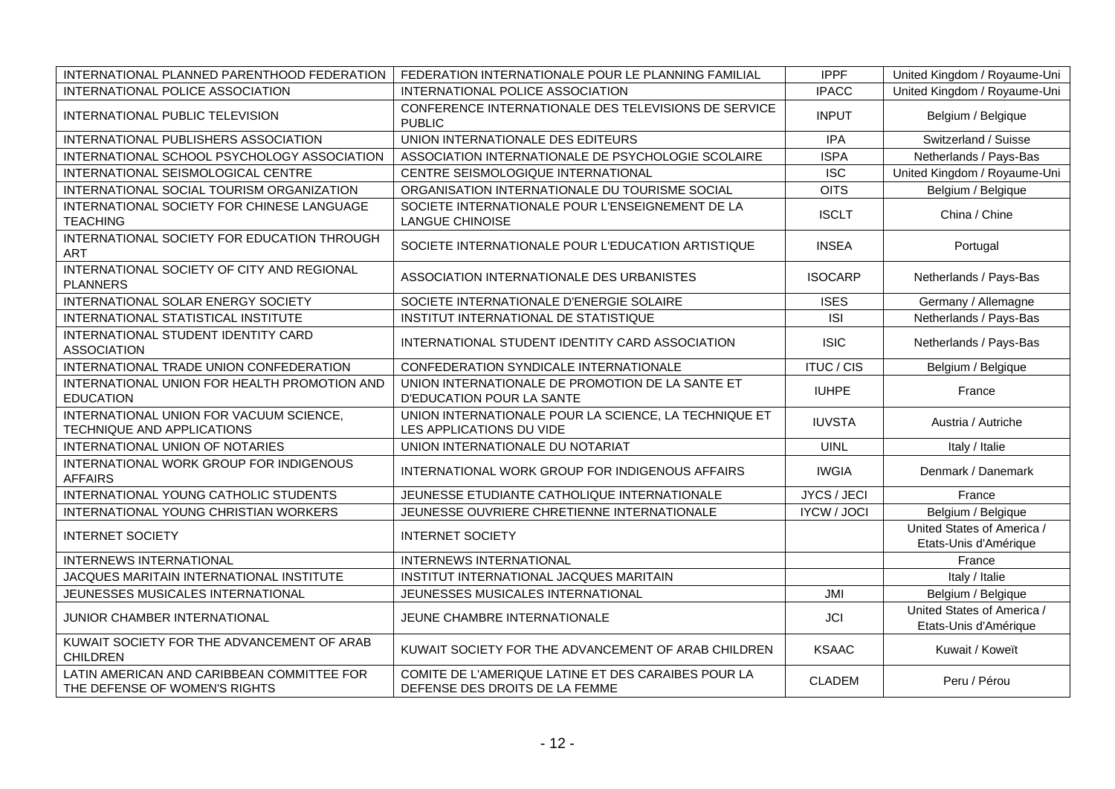| INTERNATIONAL PLANNED PARENTHOOD FEDERATION                                 | FEDERATION INTERNATIONALE POUR LE PLANNING FAMILIAL                                   | <b>IPPF</b>        | United Kingdom / Royaume-Uni                        |
|-----------------------------------------------------------------------------|---------------------------------------------------------------------------------------|--------------------|-----------------------------------------------------|
| <b>INTERNATIONAL POLICE ASSOCIATION</b>                                     | INTERNATIONAL POLICE ASSOCIATION                                                      | <b>IPACC</b>       | United Kingdom / Royaume-Uni                        |
| INTERNATIONAL PUBLIC TELEVISION                                             | CONFERENCE INTERNATIONALE DES TELEVISIONS DE SERVICE<br><b>PUBLIC</b>                 | <b>INPUT</b>       | Belgium / Belgique                                  |
| INTERNATIONAL PUBLISHERS ASSOCIATION                                        | UNION INTERNATIONALE DES EDITEURS                                                     | <b>IPA</b>         | Switzerland / Suisse                                |
| INTERNATIONAL SCHOOL PSYCHOLOGY ASSOCIATION                                 | ASSOCIATION INTERNATIONALE DE PSYCHOLOGIE SCOLAIRE                                    | <b>ISPA</b>        | Netherlands / Pays-Bas                              |
| INTERNATIONAL SEISMOLOGICAL CENTRE                                          | CENTRE SEISMOLOGIQUE INTERNATIONAL                                                    | <b>ISC</b>         | United Kingdom / Royaume-Uni                        |
| INTERNATIONAL SOCIAL TOURISM ORGANIZATION                                   | ORGANISATION INTERNATIONALE DU TOURISME SOCIAL                                        | <b>OITS</b>        | Belgium / Belgique                                  |
| INTERNATIONAL SOCIETY FOR CHINESE LANGUAGE<br><b>TEACHING</b>               | SOCIETE INTERNATIONALE POUR L'ENSEIGNEMENT DE LA<br><b>LANGUE CHINOISE</b>            | <b>ISCLT</b>       | China / Chine                                       |
| INTERNATIONAL SOCIETY FOR EDUCATION THROUGH<br><b>ART</b>                   | SOCIETE INTERNATIONALE POUR L'EDUCATION ARTISTIQUE                                    | <b>INSEA</b>       | Portugal                                            |
| INTERNATIONAL SOCIETY OF CITY AND REGIONAL<br><b>PLANNERS</b>               | ASSOCIATION INTERNATIONALE DES URBANISTES                                             | <b>ISOCARP</b>     | Netherlands / Pays-Bas                              |
| INTERNATIONAL SOLAR ENERGY SOCIETY                                          | SOCIETE INTERNATIONALE D'ENERGIE SOLAIRE                                              | <b>ISES</b>        | Germany / Allemagne                                 |
| INTERNATIONAL STATISTICAL INSTITUTE                                         | INSTITUT INTERNATIONAL DE STATISTIQUE                                                 | <b>ISI</b>         | Netherlands / Pays-Bas                              |
| INTERNATIONAL STUDENT IDENTITY CARD<br><b>ASSOCIATION</b>                   | INTERNATIONAL STUDENT IDENTITY CARD ASSOCIATION                                       | <b>ISIC</b>        | Netherlands / Pays-Bas                              |
| INTERNATIONAL TRADE UNION CONFEDERATION                                     | CONFEDERATION SYNDICALE INTERNATIONALE                                                | <b>ITUC / CIS</b>  | Belgium / Belgique                                  |
| INTERNATIONAL UNION FOR HEALTH PROMOTION AND<br><b>EDUCATION</b>            | UNION INTERNATIONALE DE PROMOTION DE LA SANTE ET<br>D'EDUCATION POUR LA SANTE         | <b>IUHPE</b>       | France                                              |
| INTERNATIONAL UNION FOR VACUUM SCIENCE,<br>TECHNIQUE AND APPLICATIONS       | UNION INTERNATIONALE POUR LA SCIENCE, LA TECHNIQUE ET<br>LES APPLICATIONS DU VIDE     | <b>IUVSTA</b>      | Austria / Autriche                                  |
| <b>INTERNATIONAL UNION OF NOTARIES</b>                                      | UNION INTERNATIONALE DU NOTARIAT                                                      | <b>UINL</b>        | Italy / Italie                                      |
| INTERNATIONAL WORK GROUP FOR INDIGENOUS<br><b>AFFAIRS</b>                   | INTERNATIONAL WORK GROUP FOR INDIGENOUS AFFAIRS                                       | <b>IWGIA</b>       | Denmark / Danemark                                  |
| INTERNATIONAL YOUNG CATHOLIC STUDENTS                                       | JEUNESSE ETUDIANTE CATHOLIQUE INTERNATIONALE                                          | JYCS / JECI        | France                                              |
| INTERNATIONAL YOUNG CHRISTIAN WORKERS                                       | JEUNESSE OUVRIERE CHRETIENNE INTERNATIONALE                                           | <b>IYCW / JOCI</b> | Belgium / Belgique                                  |
| <b>INTERNET SOCIETY</b>                                                     | <b>INTERNET SOCIETY</b>                                                               |                    | United States of America /<br>Etats-Unis d'Amérique |
| <b>INTERNEWS INTERNATIONAL</b>                                              | <b>INTERNEWS INTERNATIONAL</b>                                                        |                    | France                                              |
| JACQUES MARITAIN INTERNATIONAL INSTITUTE                                    | INSTITUT INTERNATIONAL JACQUES MARITAIN                                               |                    | Italy / Italie                                      |
| JEUNESSES MUSICALES INTERNATIONAL                                           | JEUNESSES MUSICALES INTERNATIONAL                                                     | JMI                | Belgium / Belgique                                  |
| JUNIOR CHAMBER INTERNATIONAL                                                | JEUNE CHAMBRE INTERNATIONALE                                                          | <b>JCI</b>         | United States of America /<br>Etats-Unis d'Amérique |
| KUWAIT SOCIETY FOR THE ADVANCEMENT OF ARAB<br><b>CHILDREN</b>               | KUWAIT SOCIETY FOR THE ADVANCEMENT OF ARAB CHILDREN                                   | <b>KSAAC</b>       | Kuwait / Koweït                                     |
| LATIN AMERICAN AND CARIBBEAN COMMITTEE FOR<br>THE DEFENSE OF WOMEN'S RIGHTS | COMITE DE L'AMERIQUE LATINE ET DES CARAIBES POUR LA<br>DEFENSE DES DROITS DE LA FEMME | <b>CLADEM</b>      | Peru / Pérou                                        |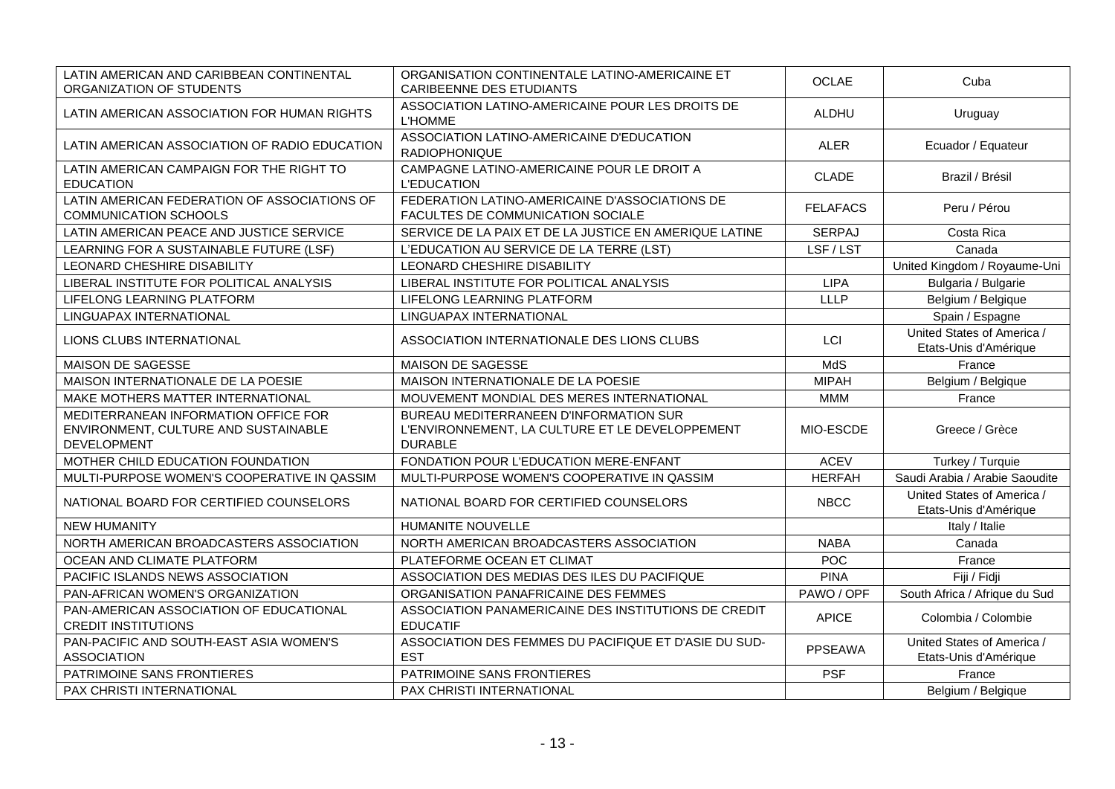| LATIN AMERICAN AND CARIBBEAN CONTINENTAL<br>ORGANIZATION OF STUDENTS                               | ORGANISATION CONTINENTALE LATINO-AMERICAINE ET<br><b>CARIBEENNE DES ETUDIANTS</b>                           | <b>OCLAE</b>    | Cuba                                                |
|----------------------------------------------------------------------------------------------------|-------------------------------------------------------------------------------------------------------------|-----------------|-----------------------------------------------------|
| LATIN AMERICAN ASSOCIATION FOR HUMAN RIGHTS                                                        | ASSOCIATION LATINO-AMERICAINE POUR LES DROITS DE<br><b>L'HOMME</b>                                          | <b>ALDHU</b>    | Uruguay                                             |
| LATIN AMERICAN ASSOCIATION OF RADIO EDUCATION                                                      | ASSOCIATION LATINO-AMERICAINE D'EDUCATION<br>RADIOPHONIQUE                                                  | <b>ALER</b>     | Ecuador / Equateur                                  |
| LATIN AMERICAN CAMPAIGN FOR THE RIGHT TO<br><b>EDUCATION</b>                                       | CAMPAGNE LATINO-AMERICAINE POUR LE DROIT A<br><b>L'EDUCATION</b>                                            | <b>CLADE</b>    | Brazil / Brésil                                     |
| LATIN AMERICAN FEDERATION OF ASSOCIATIONS OF<br><b>COMMUNICATION SCHOOLS</b>                       | FEDERATION LATINO-AMERICAINE D'ASSOCIATIONS DE<br>FACULTES DE COMMUNICATION SOCIALE                         | <b>FELAFACS</b> | Peru / Pérou                                        |
| LATIN AMERICAN PEACE AND JUSTICE SERVICE                                                           | SERVICE DE LA PAIX ET DE LA JUSTICE EN AMERIQUE LATINE                                                      | <b>SERPAJ</b>   | Costa Rica                                          |
| LEARNING FOR A SUSTAINABLE FUTURE (LSF)                                                            | L'EDUCATION AU SERVICE DE LA TERRE (LST)                                                                    | LSF/LST         | Canada                                              |
| LEONARD CHESHIRE DISABILITY                                                                        | LEONARD CHESHIRE DISABILITY                                                                                 |                 | United Kingdom / Royaume-Uni                        |
| LIBERAL INSTITUTE FOR POLITICAL ANALYSIS                                                           | LIBERAL INSTITUTE FOR POLITICAL ANALYSIS                                                                    | <b>LIPA</b>     | Bulgaria / Bulgarie                                 |
| LIFELONG LEARNING PLATFORM                                                                         | LIFELONG LEARNING PLATFORM                                                                                  | <b>LLLP</b>     | Belgium / Belgique                                  |
| LINGUAPAX INTERNATIONAL                                                                            | LINGUAPAX INTERNATIONAL                                                                                     |                 | Spain / Espagne                                     |
| LIONS CLUBS INTERNATIONAL                                                                          | ASSOCIATION INTERNATIONALE DES LIONS CLUBS                                                                  | LCI             | United States of America /<br>Etats-Unis d'Amérique |
| MAISON DE SAGESSE                                                                                  | MAISON DE SAGESSE                                                                                           | MdS             | France                                              |
| MAISON INTERNATIONALE DE LA POESIE                                                                 | MAISON INTERNATIONALE DE LA POESIE                                                                          | <b>MIPAH</b>    | Belgium / Belgique                                  |
| MAKE MOTHERS MATTER INTERNATIONAL                                                                  | MOUVEMENT MONDIAL DES MERES INTERNATIONAL                                                                   | <b>MMM</b>      | France                                              |
| MEDITERRANEAN INFORMATION OFFICE FOR<br>ENVIRONMENT, CULTURE AND SUSTAINABLE<br><b>DEVELOPMENT</b> | BUREAU MEDITERRANEEN D'INFORMATION SUR<br>L'ENVIRONNEMENT, LA CULTURE ET LE DEVELOPPEMENT<br><b>DURABLE</b> | MIO-ESCDE       | Greece / Grèce                                      |
| MOTHER CHILD EDUCATION FOUNDATION                                                                  | FONDATION POUR L'EDUCATION MERE-ENFANT                                                                      | <b>ACEV</b>     | Turkey / Turquie                                    |
| MULTI-PURPOSE WOMEN'S COOPERATIVE IN QASSIM                                                        | MULTI-PURPOSE WOMEN'S COOPERATIVE IN QASSIM                                                                 | <b>HERFAH</b>   | Saudi Arabia / Arabie Saoudite                      |
| NATIONAL BOARD FOR CERTIFIED COUNSELORS                                                            | NATIONAL BOARD FOR CERTIFIED COUNSELORS                                                                     | <b>NBCC</b>     | United States of America /<br>Etats-Unis d'Amérique |
| <b>NEW HUMANITY</b>                                                                                | HUMANITE NOUVELLE                                                                                           |                 | Italy / Italie                                      |
| NORTH AMERICAN BROADCASTERS ASSOCIATION                                                            | NORTH AMERICAN BROADCASTERS ASSOCIATION                                                                     | <b>NABA</b>     | Canada                                              |
| OCEAN AND CLIMATE PLATFORM                                                                         | PLATEFORME OCEAN ET CLIMAT                                                                                  | POC             | France                                              |
| PACIFIC ISLANDS NEWS ASSOCIATION                                                                   | ASSOCIATION DES MEDIAS DES ILES DU PACIFIQUE                                                                | <b>PINA</b>     | Fiji / Fidji                                        |
| PAN-AFRICAN WOMEN'S ORGANIZATION                                                                   | ORGANISATION PANAFRICAINE DES FEMMES                                                                        | PAWO / OPF      | South Africa / Afrique du Sud                       |
| PAN-AMERICAN ASSOCIATION OF EDUCATIONAL<br><b>CREDIT INSTITUTIONS</b>                              | ASSOCIATION PANAMERICAINE DES INSTITUTIONS DE CREDIT<br><b>EDUCATIF</b>                                     | <b>APICE</b>    | Colombia / Colombie                                 |
| PAN-PACIFIC AND SOUTH-EAST ASIA WOMEN'S<br><b>ASSOCIATION</b>                                      | ASSOCIATION DES FEMMES DU PACIFIQUE ET D'ASIE DU SUD-<br><b>EST</b>                                         | <b>PPSEAWA</b>  | United States of America /<br>Etats-Unis d'Amérique |
| PATRIMOINE SANS FRONTIERES                                                                         | PATRIMOINE SANS FRONTIERES                                                                                  | <b>PSF</b>      | France                                              |
| PAX CHRISTI INTERNATIONAL                                                                          | PAX CHRISTI INTERNATIONAL                                                                                   |                 | Belgium / Belgique                                  |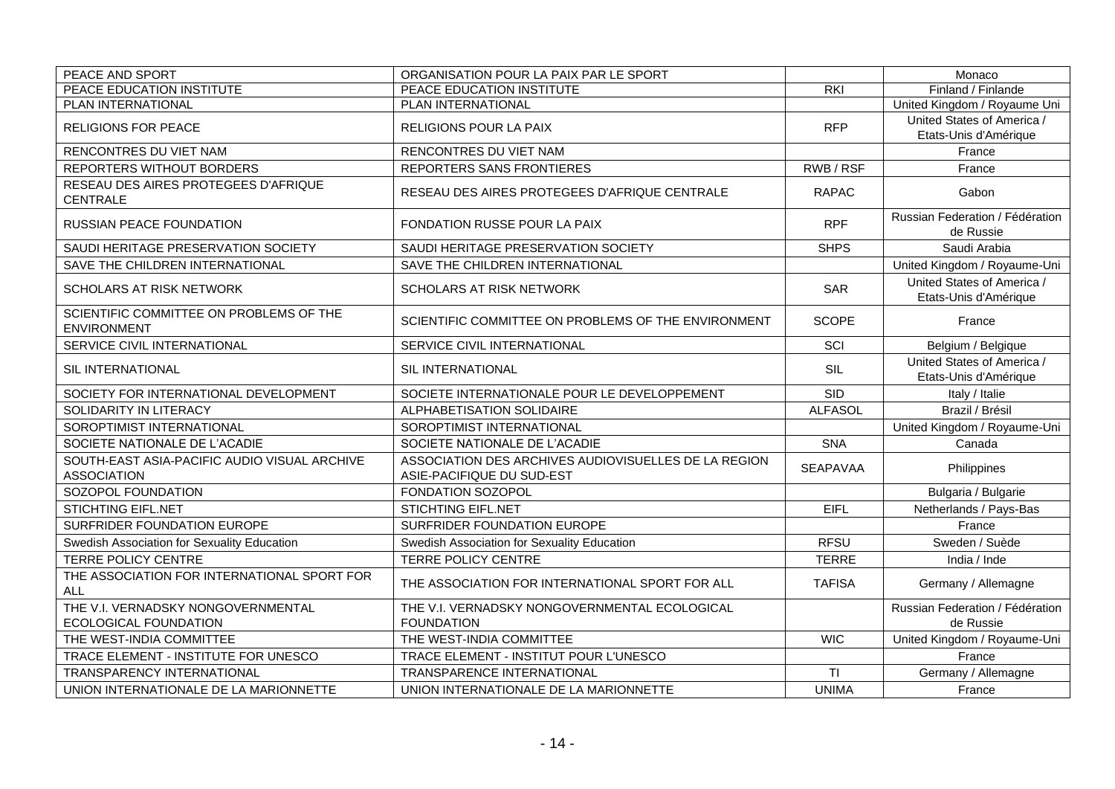| PEACE AND SPORT                                                    | ORGANISATION POUR LA PAIX PAR LE SPORT                                            |                 | Monaco                                              |
|--------------------------------------------------------------------|-----------------------------------------------------------------------------------|-----------------|-----------------------------------------------------|
| PEACE EDUCATION INSTITUTE                                          | PEACE EDUCATION INSTITUTE                                                         | <b>RKI</b>      | Finland / Finlande                                  |
| PLAN INTERNATIONAL                                                 | PLAN INTERNATIONAL                                                                |                 | United Kingdom / Royaume Uni                        |
| <b>RELIGIONS FOR PEACE</b>                                         | RELIGIONS POUR LA PAIX                                                            | <b>RFP</b>      | United States of America /<br>Etats-Unis d'Amérique |
| RENCONTRES DU VIET NAM                                             | RENCONTRES DU VIET NAM                                                            |                 | France                                              |
| REPORTERS WITHOUT BORDERS                                          | REPORTERS SANS FRONTIERES                                                         | RWB/RSF         | France                                              |
| RESEAU DES AIRES PROTEGEES D'AFRIQUE<br>CENTRALE                   | RESEAU DES AIRES PROTEGEES D'AFRIQUE CENTRALE                                     | <b>RAPAC</b>    | Gabon                                               |
| <b>RUSSIAN PEACE FOUNDATION</b>                                    | <b>FONDATION RUSSE POUR LA PAIX</b>                                               | <b>RPF</b>      | Russian Federation / Fédération<br>de Russie        |
| SAUDI HERITAGE PRESERVATION SOCIETY                                | SAUDI HERITAGE PRESERVATION SOCIETY                                               | <b>SHPS</b>     | Saudi Arabia                                        |
| SAVE THE CHILDREN INTERNATIONAL                                    | SAVE THE CHILDREN INTERNATIONAL                                                   |                 | United Kingdom / Royaume-Uni                        |
| <b>SCHOLARS AT RISK NETWORK</b>                                    | SCHOLARS AT RISK NETWORK                                                          | <b>SAR</b>      | United States of America /<br>Etats-Unis d'Amérique |
| SCIENTIFIC COMMITTEE ON PROBLEMS OF THE<br><b>ENVIRONMENT</b>      | SCIENTIFIC COMMITTEE ON PROBLEMS OF THE ENVIRONMENT                               | <b>SCOPE</b>    | France                                              |
| SERVICE CIVIL INTERNATIONAL                                        | SERVICE CIVIL INTERNATIONAL                                                       | SCI             | Belgium / Belgique                                  |
| SIL INTERNATIONAL                                                  | SIL INTERNATIONAL                                                                 | SIL             | United States of America /<br>Etats-Unis d'Amérique |
| SOCIETY FOR INTERNATIONAL DEVELOPMENT                              | SOCIETE INTERNATIONALE POUR LE DEVELOPPEMENT                                      | <b>SID</b>      | Italy / Italie                                      |
| SOLIDARITY IN LITERACY                                             | ALPHABETISATION SOLIDAIRE                                                         | <b>ALFASOL</b>  | Brazil / Brésil                                     |
| SOROPTIMIST INTERNATIONAL                                          | SOROPTIMIST INTERNATIONAL                                                         |                 | United Kingdom / Royaume-Uni                        |
| SOCIETE NATIONALE DE L'ACADIE                                      | SOCIETE NATIONALE DE L'ACADIE                                                     | <b>SNA</b>      | Canada                                              |
| SOUTH-EAST ASIA-PACIFIC AUDIO VISUAL ARCHIVE<br><b>ASSOCIATION</b> | ASSOCIATION DES ARCHIVES AUDIOVISUELLES DE LA REGION<br>ASIE-PACIFIQUE DU SUD-EST | <b>SEAPAVAA</b> | Philippines                                         |
| SOZOPOL FOUNDATION                                                 | FONDATION SOZOPOL                                                                 |                 | Bulgaria / Bulgarie                                 |
| <b>STICHTING EIFL.NET</b>                                          | <b>STICHTING EIFL.NET</b>                                                         | <b>EIFL</b>     | Netherlands / Pays-Bas                              |
| SURFRIDER FOUNDATION EUROPE                                        | SURFRIDER FOUNDATION EUROPE                                                       |                 | France                                              |
| Swedish Association for Sexuality Education                        | Swedish Association for Sexuality Education                                       | <b>RFSU</b>     | Sweden / Suède                                      |
| <b>TERRE POLICY CENTRE</b>                                         | <b>TERRE POLICY CENTRE</b>                                                        | <b>TERRE</b>    | India / Inde                                        |
| THE ASSOCIATION FOR INTERNATIONAL SPORT FOR<br><b>ALL</b>          | THE ASSOCIATION FOR INTERNATIONAL SPORT FOR ALL                                   | <b>TAFISA</b>   | Germany / Allemagne                                 |
| THE V.I. VERNADSKY NONGOVERNMENTAL<br>ECOLOGICAL FOUNDATION        | THE V.I. VERNADSKY NONGOVERNMENTAL ECOLOGICAL<br><b>FOUNDATION</b>                |                 | Russian Federation / Fédération<br>de Russie        |
| THE WEST-INDIA COMMITTEE                                           | THE WEST-INDIA COMMITTEE                                                          | <b>WIC</b>      | United Kingdom / Royaume-Uni                        |
| TRACE ELEMENT - INSTITUTE FOR UNESCO                               | TRACE ELEMENT - INSTITUT POUR L'UNESCO                                            |                 | France                                              |
| TRANSPARENCY INTERNATIONAL                                         | TRANSPARENCE INTERNATIONAL                                                        | TI              | Germany / Allemagne                                 |
| UNION INTERNATIONALE DE LA MARIONNETTE                             | UNION INTERNATIONALE DE LA MARIONNETTE                                            | <b>UNIMA</b>    | France                                              |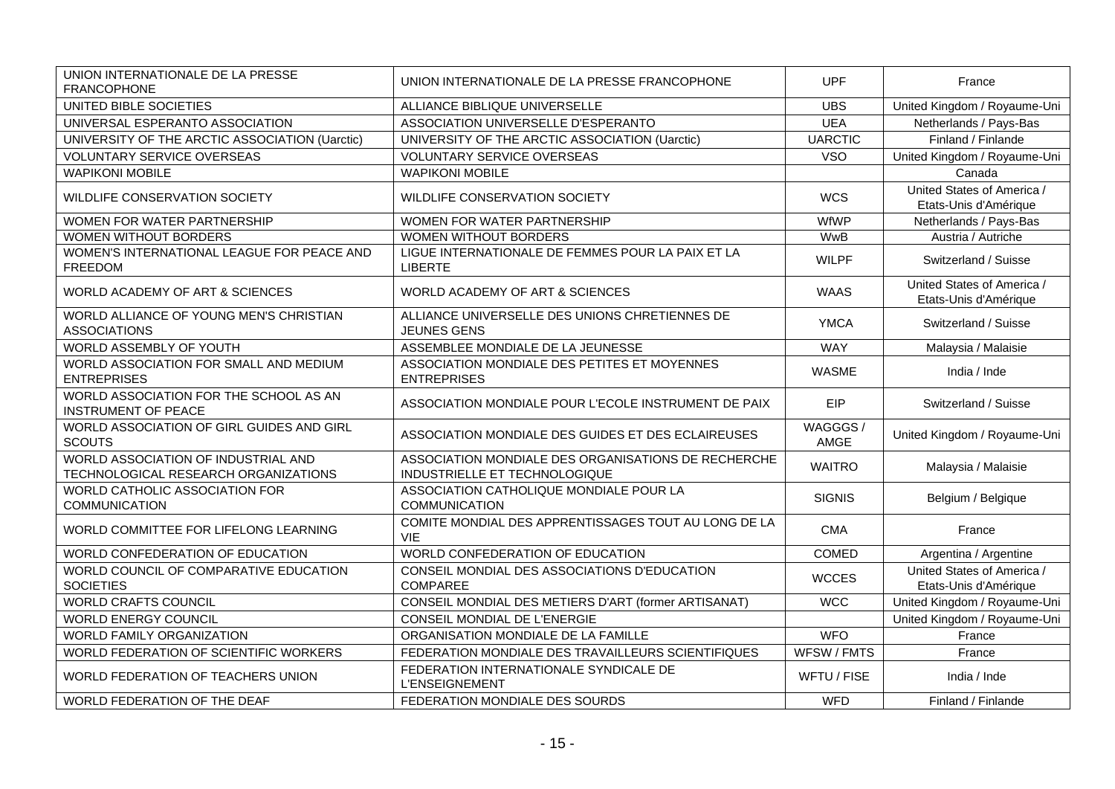| UNION INTERNATIONALE DE LA PRESSE<br><b>FRANCOPHONE</b>                     | UNION INTERNATIONALE DE LA PRESSE FRANCOPHONE                                        | <b>UPF</b>      | France                                              |
|-----------------------------------------------------------------------------|--------------------------------------------------------------------------------------|-----------------|-----------------------------------------------------|
| UNITED BIBLE SOCIETIES                                                      | ALLIANCE BIBLIQUE UNIVERSELLE                                                        | <b>UBS</b>      | United Kingdom / Royaume-Uni                        |
| UNIVERSAL ESPERANTO ASSOCIATION                                             | ASSOCIATION UNIVERSELLE D'ESPERANTO                                                  | <b>UEA</b>      | Netherlands / Pays-Bas                              |
| UNIVERSITY OF THE ARCTIC ASSOCIATION (Uarctic)                              | UNIVERSITY OF THE ARCTIC ASSOCIATION (Uarctic)                                       | <b>UARCTIC</b>  | Finland / Finlande                                  |
| <b>VOLUNTARY SERVICE OVERSEAS</b>                                           | VOLUNTARY SERVICE OVERSEAS                                                           | <b>VSO</b>      | United Kingdom / Royaume-Uni                        |
| <b>WAPIKONI MOBILE</b>                                                      | <b>WAPIKONI MOBILE</b>                                                               |                 | Canada                                              |
| WILDLIFE CONSERVATION SOCIETY                                               | WILDLIFE CONSERVATION SOCIETY                                                        | <b>WCS</b>      | United States of America /<br>Etats-Unis d'Amérique |
| WOMEN FOR WATER PARTNERSHIP                                                 | WOMEN FOR WATER PARTNERSHIP                                                          | <b>WfWP</b>     | Netherlands / Pays-Bas                              |
| WOMEN WITHOUT BORDERS                                                       | WOMEN WITHOUT BORDERS                                                                | <b>WwB</b>      | Austria / Autriche                                  |
| WOMEN'S INTERNATIONAL LEAGUE FOR PEACE AND<br><b>FREEDOM</b>                | LIGUE INTERNATIONALE DE FEMMES POUR LA PAIX ET LA<br><b>LIBERTE</b>                  | <b>WILPF</b>    | Switzerland / Suisse                                |
| WORLD ACADEMY OF ART & SCIENCES                                             | WORLD ACADEMY OF ART & SCIENCES                                                      | <b>WAAS</b>     | United States of America /<br>Etats-Unis d'Amérique |
| WORLD ALLIANCE OF YOUNG MEN'S CHRISTIAN<br><b>ASSOCIATIONS</b>              | ALLIANCE UNIVERSELLE DES UNIONS CHRETIENNES DE<br><b>JEUNES GENS</b>                 | <b>YMCA</b>     | Switzerland / Suisse                                |
| WORLD ASSEMBLY OF YOUTH                                                     | ASSEMBLEE MONDIALE DE LA JEUNESSE                                                    | <b>WAY</b>      | Malaysia / Malaisie                                 |
| WORLD ASSOCIATION FOR SMALL AND MEDIUM<br><b>ENTREPRISES</b>                | ASSOCIATION MONDIALE DES PETITES ET MOYENNES<br><b>ENTREPRISES</b>                   | <b>WASME</b>    | India / Inde                                        |
| WORLD ASSOCIATION FOR THE SCHOOL AS AN<br><b>INSTRUMENT OF PEACE</b>        | ASSOCIATION MONDIALE POUR L'ECOLE INSTRUMENT DE PAIX                                 | EIP             | Switzerland / Suisse                                |
| WORLD ASSOCIATION OF GIRL GUIDES AND GIRL<br><b>SCOUTS</b>                  | ASSOCIATION MONDIALE DES GUIDES ET DES ECLAIREUSES                                   | WAGGGS/<br>AMGE | United Kingdom / Royaume-Uni                        |
| WORLD ASSOCIATION OF INDUSTRIAL AND<br>TECHNOLOGICAL RESEARCH ORGANIZATIONS | ASSOCIATION MONDIALE DES ORGANISATIONS DE RECHERCHE<br>INDUSTRIELLE ET TECHNOLOGIQUE | <b>WAITRO</b>   | Malaysia / Malaisie                                 |
| WORLD CATHOLIC ASSOCIATION FOR<br><b>COMMUNICATION</b>                      | ASSOCIATION CATHOLIQUE MONDIALE POUR LA<br><b>COMMUNICATION</b>                      | <b>SIGNIS</b>   | Belgium / Belgique                                  |
| WORLD COMMITTEE FOR LIFELONG LEARNING                                       | COMITE MONDIAL DES APPRENTISSAGES TOUT AU LONG DE LA<br><b>VIE</b>                   | <b>CMA</b>      | France                                              |
| WORLD CONFEDERATION OF EDUCATION                                            | WORLD CONFEDERATION OF EDUCATION                                                     | <b>COMED</b>    | Argentina / Argentine                               |
| WORLD COUNCIL OF COMPARATIVE EDUCATION<br><b>SOCIETIES</b>                  | CONSEIL MONDIAL DES ASSOCIATIONS D'EDUCATION<br><b>COMPAREE</b>                      | <b>WCCES</b>    | United States of America /<br>Etats-Unis d'Amérique |
| <b>WORLD CRAFTS COUNCIL</b>                                                 | CONSEIL MONDIAL DES METIERS D'ART (former ARTISANAT)                                 | <b>WCC</b>      | United Kingdom / Royaume-Uni                        |
| <b>WORLD ENERGY COUNCIL</b>                                                 | CONSEIL MONDIAL DE L'ENERGIE                                                         |                 | United Kingdom / Royaume-Uni                        |
| <b>WORLD FAMILY ORGANIZATION</b>                                            | ORGANISATION MONDIALE DE LA FAMILLE                                                  | <b>WFO</b>      | France                                              |
| WORLD FEDERATION OF SCIENTIFIC WORKERS                                      | FEDERATION MONDIALE DES TRAVAILLEURS SCIENTIFIQUES                                   | WFSW / FMTS     | France                                              |
| WORLD FEDERATION OF TEACHERS UNION                                          | FEDERATION INTERNATIONALE SYNDICALE DE<br><b>L'ENSEIGNEMENT</b>                      | WFTU / FISE     | India / Inde                                        |
| WORLD FEDERATION OF THE DEAF                                                | FEDERATION MONDIALE DES SOURDS                                                       | <b>WFD</b>      | Finland / Finlande                                  |